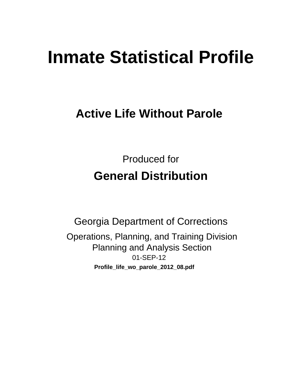# **Inmate Statistical Profile**

# **Active Life Without Parole**

**Produced for General Distribution** 

**Georgia Department of Corrections** Operations, Planning, and Training Division **Planning and Analysis Section** 01-SEP-12 Profile\_life\_wo\_parole\_2012\_08.pdf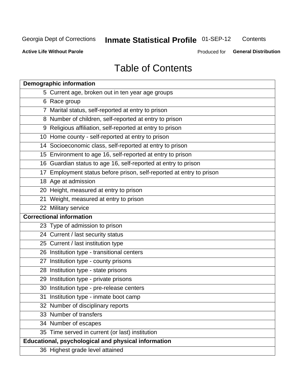#### **Inmate Statistical Profile 01-SEP-12** Contents

**Active Life Without Parole** 

Produced for General Distribution

# **Table of Contents**

| <b>Demographic information</b>                                       |
|----------------------------------------------------------------------|
| 5 Current age, broken out in ten year age groups                     |
| 6 Race group                                                         |
| 7 Marital status, self-reported at entry to prison                   |
| 8 Number of children, self-reported at entry to prison               |
| 9 Religious affiliation, self-reported at entry to prison            |
| 10 Home county - self-reported at entry to prison                    |
| 14 Socioeconomic class, self-reported at entry to prison             |
| 15 Environment to age 16, self-reported at entry to prison           |
| 16 Guardian status to age 16, self-reported at entry to prison       |
| 17 Employment status before prison, self-reported at entry to prison |
| 18 Age at admission                                                  |
| 20 Height, measured at entry to prison                               |
| 21 Weight, measured at entry to prison                               |
| 22 Military service                                                  |
| <b>Correctional information</b>                                      |
| 23 Type of admission to prison                                       |
| 24 Current / last security status                                    |
| 25 Current / last institution type                                   |
| 26 Institution type - transitional centers                           |
| 27 Institution type - county prisons                                 |
| 28 Institution type - state prisons                                  |
| 29 Institution type - private prisons                                |
| 30 Institution type - pre-release centers                            |
| 31 Institution type - inmate boot camp                               |
| 32 Number of disciplinary reports                                    |
| 33 Number of transfers                                               |
| 34 Number of escapes                                                 |
| 35 Time served in current (or last) institution                      |
| Educational, psychological and physical information                  |
| 36 Highest grade level attained                                      |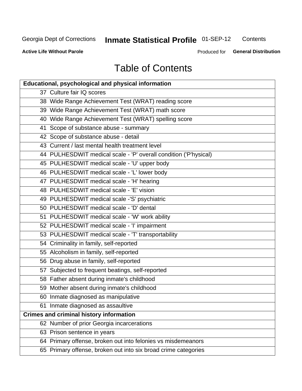#### **Inmate Statistical Profile 01-SEP-12** Contents

**Active Life Without Parole** 

Produced for General Distribution

# **Table of Contents**

| <b>Educational, psychological and physical information</b>       |
|------------------------------------------------------------------|
| 37 Culture fair IQ scores                                        |
| 38 Wide Range Achievement Test (WRAT) reading score              |
| 39 Wide Range Achievement Test (WRAT) math score                 |
| 40 Wide Range Achievement Test (WRAT) spelling score             |
| 41 Scope of substance abuse - summary                            |
| 42 Scope of substance abuse - detail                             |
| 43 Current / last mental health treatment level                  |
| 44 PULHESDWIT medical scale - 'P' overall condition ('P'hysical) |
| 45 PULHESDWIT medical scale - 'U' upper body                     |
| 46 PULHESDWIT medical scale - 'L' lower body                     |
| 47 PULHESDWIT medical scale - 'H' hearing                        |
| 48 PULHESDWIT medical scale - 'E' vision                         |
| 49 PULHESDWIT medical scale -'S' psychiatric                     |
| 50 PULHESDWIT medical scale - 'D' dental                         |
| 51 PULHESDWIT medical scale - 'W' work ability                   |
| 52 PULHESDWIT medical scale - 'I' impairment                     |
| 53 PULHESDWIT medical scale - 'T' transportability               |
| 54 Criminality in family, self-reported                          |
| 55 Alcoholism in family, self-reported                           |
| 56 Drug abuse in family, self-reported                           |
| 57 Subjected to frequent beatings, self-reported                 |
| 58 Father absent during inmate's childhood                       |
| 59 Mother absent during inmate's childhood                       |
| 60 Inmate diagnosed as manipulative                              |
| 61 Inmate diagnosed as assaultive                                |
| <b>Crimes and criminal history information</b>                   |
| 62 Number of prior Georgia incarcerations                        |
| 63 Prison sentence in years                                      |
| 64 Primary offense, broken out into felonies vs misdemeanors     |
| 65 Primary offense, broken out into six broad crime categories   |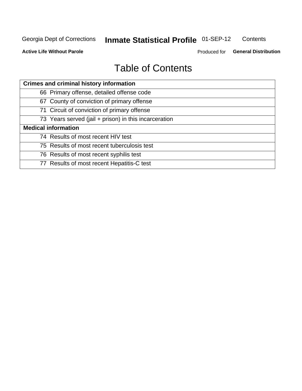#### **Inmate Statistical Profile 01-SEP-12** Contents

**Active Life Without Parole** 

Produced for General Distribution

# **Table of Contents**

| <b>Crimes and criminal history information</b>        |
|-------------------------------------------------------|
| 66 Primary offense, detailed offense code             |
| 67 County of conviction of primary offense            |
| 71 Circuit of conviction of primary offense           |
| 73 Years served (jail + prison) in this incarceration |
| <b>Medical information</b>                            |
| 74 Results of most recent HIV test                    |
| 75 Results of most recent tuberculosis test           |
| 76 Results of most recent syphilis test               |
| 77 Results of most recent Hepatitis-C test            |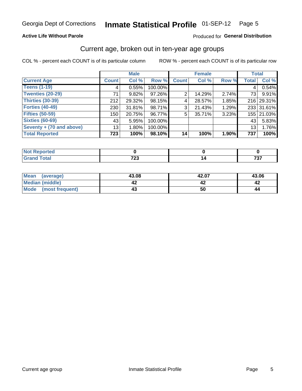#### Inmate Statistical Profile 01-SEP-12 Page 5

#### **Active Life Without Parole**

#### Produced for General Distribution

#### Current age, broken out in ten-year age groups

COL % - percent each COUNT is of its particular column

|                          |              | <b>Male</b> |         |                | <b>Female</b> |          | <b>Total</b>    |            |
|--------------------------|--------------|-------------|---------|----------------|---------------|----------|-----------------|------------|
| <b>Current Age</b>       | <b>Count</b> | Col %       | Row %   | <b>Count</b>   | Col %         | Row %    | <b>Total</b>    | Col %      |
| <b>Teens (1-19)</b>      | 4            | 0.55%       | 100.00% |                |               |          | 4               | 0.54%      |
| <b>Twenties (20-29)</b>  | 71           | 9.82%       | 97.26%  | 2              | 14.29%        | $2.74\%$ | 73 l            | 9.91%      |
| Thirties (30-39)         | 212          | 29.32%      | 98.15%  | 4              | 28.57%        | 1.85%    |                 | 216 29.31% |
| <b>Forties (40-49)</b>   | 230          | $31.81\%$   | 98.71%  | 3 <sub>1</sub> | 21.43%        | 1.29%    |                 | 233 31.61% |
| <b>Fifties (50-59)</b>   | 150          | 20.75%      | 96.77%  | 5              | 35.71%        | 3.23%    |                 | 155 21.03% |
| <b>Sixties (60-69)</b>   | 43           | 5.95%       | 100.00% |                |               |          | 43              | 5.83%      |
| Seventy + (70 and above) | 13           | $1.80\%$    | 100.00% |                |               |          | 13 <sub>1</sub> | 1.76%      |
| <b>Total Reported</b>    | 723          | 100%        | 98.10%  | 14             | 100%          | 1.90%    | 737             | 100%       |

| _____ | 700<br>--<br>$\cdot$ $ \cdot$ | $\mathbf{a} \mathbf{b} \mathbf{c}$<br>$  -$ |
|-------|-------------------------------|---------------------------------------------|

| <b>Mean</b><br>(average) | 43.08 | 42.07 | 43.06 |
|--------------------------|-------|-------|-------|
| Median (middle)          |       |       |       |
| Mode (most frequent)     |       | 50    | 44    |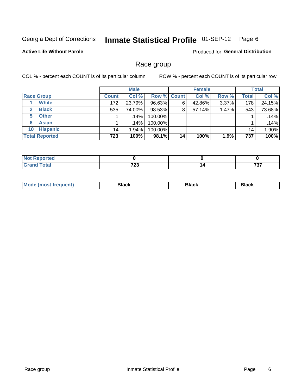#### Inmate Statistical Profile 01-SEP-12 Page 6

#### **Active Life Without Parole**

Produced for General Distribution

#### Race group

COL % - percent each COUNT is of its particular column

|                              |              | <b>Male</b> |                    |    | <b>Female</b> |       |              | <b>Total</b> |
|------------------------------|--------------|-------------|--------------------|----|---------------|-------|--------------|--------------|
| <b>Race Group</b>            | <b>Count</b> | Col %       | <b>Row % Count</b> |    | Col %         | Row % | <b>Total</b> | Col %        |
| <b>White</b>                 | 172          | 23.79%      | 96.63%             | 6  | 42.86%        | 3.37% | 178          | 24.15%       |
| <b>Black</b><br>$\mathbf{2}$ | 535          | 74.00%      | 98.53%             | 8  | 57.14%        | 1.47% | 543          | 73.68%       |
| <b>Other</b><br>5.           |              | .14%        | 100.00%            |    |               |       |              | .14%         |
| <b>Asian</b><br>6            |              | .14%        | 100.00%            |    |               |       |              | .14%         |
| <b>Hispanic</b><br>10        | 14           | $1.94\%$    | 100.00%            |    |               |       | 14           | 1.90%        |
| <b>Total Reported</b>        | 723          | 100%        | 98.1%              | 14 | 100%          | 1.9%  | 737          | 100%         |

| rreo    |              |                   |
|---------|--------------|-------------------|
| المفماد | フヘヘ<br>1 L J | ラヘラ<br>וטו<br>___ |

| M | --- | $-1$ |
|---|-----|------|
|   |     |      |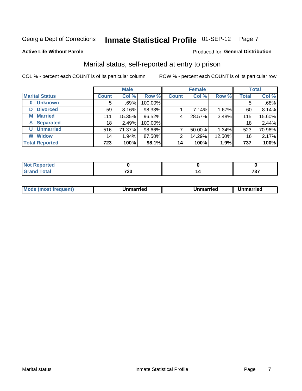#### **Inmate Statistical Profile 01-SEP-12** Page 7

#### **Active Life Without Parole**

#### Produced for General Distribution

### Marital status, self-reported at entry to prison

COL % - percent each COUNT is of its particular column

|                            |                 | <b>Male</b> |         |              | <b>Female</b> |        |              | <b>Total</b> |
|----------------------------|-----------------|-------------|---------|--------------|---------------|--------|--------------|--------------|
| <b>Marital Status</b>      | <b>Count</b>    | Col %       | Row %   | <b>Count</b> | Col %         | Row %  | <b>Total</b> | Col %        |
| <b>Unknown</b><br>$\bf{0}$ | 5               | .69%        | 100.00% |              |               |        | 5            | .68%         |
| <b>Divorced</b><br>D       | 59              | $8.16\%$    | 98.33%  |              | 7.14%         | 1.67%  | 60           | 8.14%        |
| <b>Married</b><br>М        | 111             | 15.35%      | 96.52%  | 4            | 28.57%        | 3.48%  | 115          | 15.60%       |
| <b>Separated</b><br>S      | 18 <sub>1</sub> | 2.49%       | 100.00% |              |               |        | 18           | 2.44%        |
| <b>Unmarried</b><br>U      | 516             | 71.37%      | 98.66%  | ⇁            | 50.00%        | 1.34%  | 523          | 70.96%       |
| <b>Widow</b><br>W          | 14              | 1.94%       | 87.50%  | 2            | 14.29%        | 12.50% | 16           | 2.17%        |
| <b>Total Reported</b>      | 723             | 100%        | 98.1%   | 14           | 100%          | 1.9%   | 737          | 100%         |

| rtea<br>NG |              |             |
|------------|--------------|-------------|
| υιαι       | 700<br>1 L J | -~<br>1 J I |

|--|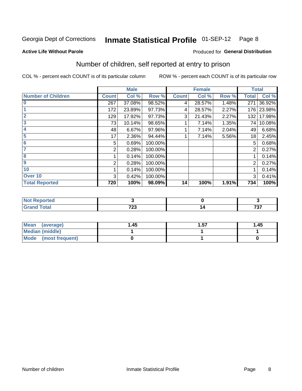#### **Inmate Statistical Profile 01-SEP-12** Page 8

Produced for General Distribution

#### **Active Life Without Parole**

# Number of children, self reported at entry to prison

COL % - percent each COUNT is of its particular column

|                           |              | <b>Male</b> |         |              | <b>Female</b> |       | <b>Total</b> |        |
|---------------------------|--------------|-------------|---------|--------------|---------------|-------|--------------|--------|
| <b>Number of Children</b> | <b>Count</b> | Col %       | Row %   | <b>Count</b> | Col %         | Row % | <b>Total</b> | Col %  |
| $\bf{0}$                  | 267          | 37.08%      | 98.52%  | 4            | 28.57%        | 1.48% | 271          | 36.92% |
|                           | 172          | 23.89%      | 97.73%  | 4            | 28.57%        | 2.27% | 176          | 23.98% |
| $\overline{2}$            | 129          | 17.92%      | 97.73%  | 3            | 21.43%        | 2.27% | 132          | 17.98% |
| 3                         | 73           | 10.14%      | 98.65%  |              | 7.14%         | 1.35% | 74           | 10.08% |
| 4                         | 48           | 6.67%       | 97.96%  |              | 7.14%         | 2.04% | 49           | 6.68%  |
| 5                         | 17           | 2.36%       | 94.44%  |              | 7.14%         | 5.56% | 18           | 2.45%  |
| 6                         | 5            | 0.69%       | 100.00% |              |               |       | 5            | 0.68%  |
| 7                         | 2            | 0.28%       | 100.00% |              |               |       | 2            | 0.27%  |
| 8                         |              | 0.14%       | 100.00% |              |               |       |              | 0.14%  |
| $\boldsymbol{9}$          | 2            | 0.28%       | 100.00% |              |               |       | 2            | 0.27%  |
| 10                        |              | 0.14%       | 100.00% |              |               |       |              | 0.14%  |
| Over 10                   | 3            | 0.42%       | 100.00% |              |               |       | 3            | 0.41%  |
| <b>Total Reported</b>     | 720          | 100%        | 98.09%  | 14           | 100%          | 1.91% | 734          | 100%   |

| w<br>. |      |     |
|--------|------|-----|
| υιαι   | 700  | 707 |
| ------ | ט בו | 191 |

| Mean<br>(average)       | 45. ا | .57 | 1.45 |
|-------------------------|-------|-----|------|
| <b>Median (middle)</b>  |       |     |      |
| Mode<br>(most frequent) |       |     |      |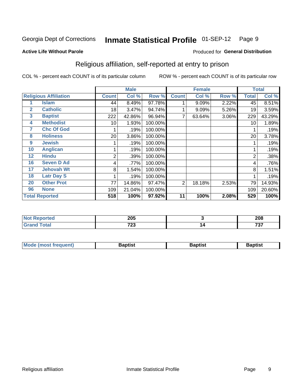#### **Inmate Statistical Profile 01-SEP-12** Page 9

Produced for General Distribution

#### **Active Life Without Parole**

# Religious affiliation, self-reported at entry to prison

COL % - percent each COUNT is of its particular column

|              |                              |              | <b>Male</b> |                      |              | <b>Female</b> |       |              | <b>Total</b> |
|--------------|------------------------------|--------------|-------------|----------------------|--------------|---------------|-------|--------------|--------------|
|              | <b>Religious Affiliation</b> | <b>Count</b> | Col %       | Row %                | <b>Count</b> | Col %         | Row % | <b>Total</b> | Col %        |
|              | Islam                        | 44           | 8.49%       | $\overline{97.78\%}$ |              | 9.09%         | 2.22% | 45           | 8.51%        |
| $\mathbf{2}$ | <b>Catholic</b>              | 18           | 3.47%       | 94.74%               |              | 9.09%         | 5.26% | 19           | 3.59%        |
| 3            | <b>Baptist</b>               | 222          | 42.86%      | 96.94%               | 7            | 63.64%        | 3.06% | 229          | 43.29%       |
| 4            | <b>Methodist</b>             | 10           | 1.93%       | 100.00%              |              |               |       | 10           | 1.89%        |
| 7            | <b>Chc Of God</b>            |              | .19%        | 100.00%              |              |               |       |              | .19%         |
| 8            | <b>Holiness</b>              | 20           | 3.86%       | 100.00%              |              |               |       | 20           | 3.78%        |
| 9            | <b>Jewish</b>                |              | .19%        | 100.00%              |              |               |       |              | .19%         |
| 10           | <b>Anglican</b>              |              | .19%        | 100.00%              |              |               |       |              | .19%         |
| 12           | <b>Hindu</b>                 | 2            | .39%        | 100.00%              |              |               |       | 2            | .38%         |
| 16           | <b>Seven D Ad</b>            | 4            | .77%        | 100.00%              |              |               |       | 4            | .76%         |
| 17           | <b>Jehovah Wt</b>            | 8            | 1.54%       | 100.00%              |              |               |       | 8            | 1.51%        |
| 18           | <b>Latr Day S</b>            |              | .19%        | 100.00%              |              |               |       |              | .19%         |
| 20           | <b>Other Prot</b>            | 77           | 14.86%      | 97.47%               | 2            | 18.18%        | 2.53% | 79           | 14.93%       |
| 96           | <b>None</b>                  | 109          | 21.04%      | 100.00%              |              |               |       | 109          | 20.60%       |
|              | <b>Total Reported</b>        | 518          | 100%        | 97.92%               | 11           | 100%          | 2.08% | 529          | 100%         |

| ı leu<br>. | <b>OOE</b><br>∠∪ບ |            | 208 |
|------------|-------------------|------------|-----|
| _____      | 700<br>725        | . .<br>. . | 707 |

| <b>Mode (most frequent)</b> | եaptist | 3aptisเ | aptist |
|-----------------------------|---------|---------|--------|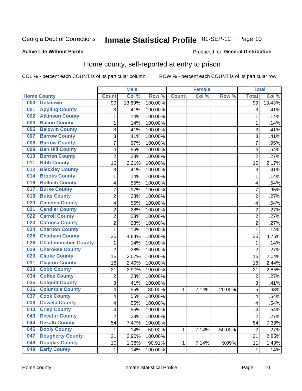#### **Inmate Statistical Profile 01-SEP-12** Page 10

#### **Active Life Without Parole**

#### Produced for General Distribution

### Home county, self-reported at entry to prison

COL % - percent each COUNT is of its particular column

|     |                             |                | <b>Male</b> |         |              | <b>Female</b> |        | <b>Total</b>   |        |
|-----|-----------------------------|----------------|-------------|---------|--------------|---------------|--------|----------------|--------|
|     | <b>Home County</b>          | <b>Count</b>   | Col %       | Row %   | <b>Count</b> | Col%          | Row %  | <b>Total</b>   | Col %  |
| 000 | <b>Unknown</b>              | 99             | 13.69%      | 100.00% |              |               |        | 99             | 13.43% |
| 001 | <b>Appling County</b>       | 3              | .41%        | 100.00% |              |               |        | 3              | .41%   |
| 002 | <b>Atkinson County</b>      | $\mathbf 1$    | .14%        | 100.00% |              |               |        | 1              | .14%   |
| 003 | <b>Bacon County</b>         | 1              | .14%        | 100.00% |              |               |        | 1              | .14%   |
| 005 | <b>Baldwin County</b>       | 3              | .41%        | 100.00% |              |               |        | 3              | .41%   |
| 007 | <b>Barrow County</b>        | 3              | .41%        | 100.00% |              |               |        | 3              | .41%   |
| 008 | <b>Bartow County</b>        | $\overline{7}$ | .97%        | 100.00% |              |               |        | 7              | .95%   |
| 009 | <b>Ben Hill County</b>      | 4              | .55%        | 100.00% |              |               |        | 4              | .54%   |
| 010 | <b>Berrien County</b>       | $\overline{2}$ | .28%        | 100.00% |              |               |        | $\overline{2}$ | .27%   |
| 011 | <b>Bibb County</b>          | 16             | 2.21%       | 100.00% |              |               |        | 16             | 2.17%  |
| 012 | <b>Bleckley County</b>      | 3              | .41%        | 100.00% |              |               |        | 3              | .41%   |
| 014 | <b>Brooks County</b>        | 1              | .14%        | 100.00% |              |               |        | 1              | .14%   |
| 016 | <b>Bulloch County</b>       | 4              | .55%        | 100.00% |              |               |        | 4              | .54%   |
| 017 | <b>Burke County</b>         | $\overline{7}$ | .97%        | 100.00% |              |               |        | 7              | .95%   |
| 018 | <b>Butts County</b>         | $\overline{2}$ | .28%        | 100.00% |              |               |        | $\overline{2}$ | .27%   |
| 020 | <b>Camden County</b>        | 4              | .55%        | 100.00% |              |               |        | 4              | .54%   |
| 021 | <b>Candler County</b>       | $\overline{2}$ | .28%        | 100.00% |              |               |        | $\overline{2}$ | .27%   |
| 022 | <b>Carroll County</b>       | $\overline{c}$ | .28%        | 100.00% |              |               |        | $\overline{2}$ | .27%   |
| 023 | <b>Catoosa County</b>       | $\overline{2}$ | .28%        | 100.00% |              |               |        | $\overline{2}$ | .27%   |
| 024 | <b>Charlton County</b>      | 1              | .14%        | 100.00% |              |               |        | 1              | .14%   |
| 025 | <b>Chatham County</b>       | 35             | 4.84%       | 100.00% |              |               |        | 35             | 4.75%  |
| 026 | <b>Chattahoochee County</b> | 1              | .14%        | 100.00% |              |               |        | 1              | .14%   |
| 028 | <b>Cherokee County</b>      | $\overline{2}$ | .28%        | 100.00% |              |               |        | $\overline{2}$ | .27%   |
| 029 | <b>Clarke County</b>        | 15             | 2.07%       | 100.00% |              |               |        | 15             | 2.04%  |
| 031 | <b>Clayton County</b>       | 18             | 2.49%       | 100.00% |              |               |        | 18             | 2.44%  |
| 033 | <b>Cobb County</b>          | 21             | 2.90%       | 100.00% |              |               |        | 21             | 2.85%  |
| 034 | <b>Coffee County</b>        | $\overline{2}$ | .28%        | 100.00% |              |               |        | $\overline{2}$ | .27%   |
| 035 | <b>Colquitt County</b>      | 3              | .41%        | 100.00% |              |               |        | 3              | .41%   |
| 036 | <b>Columbia County</b>      | 4              | .55%        | 80.00%  | 1            | 7.14%         | 20.00% | 5              | .68%   |
| 037 | <b>Cook County</b>          | 4              | .55%        | 100.00% |              |               |        | 4              | .54%   |
| 038 | <b>Coweta County</b>        | 4              | .55%        | 100.00% |              |               |        | 4              | .54%   |
| 040 | <b>Crisp County</b>         | 4              | .55%        | 100.00% |              |               |        | 4              | .54%   |
| 043 | <b>Decatur County</b>       | $\overline{2}$ | .28%        | 100.00% |              |               |        | $\overline{2}$ | .27%   |
| 044 | <b>Dekalb County</b>        | 54             | 7.47%       | 100.00% |              |               |        | 54             | 7.33%  |
| 046 | <b>Dooly County</b>         | 1              | .14%        | 50.00%  | 1            | 7.14%         | 50.00% | $\overline{2}$ | .27%   |
| 047 | <b>Dougherty County</b>     | 21             | 2.90%       | 100.00% |              |               |        | 21             | 2.85%  |
| 048 | <b>Douglas County</b>       | 10             | 1.38%       | 90.91%  | 1            | 7.14%         | 9.09%  | 11             | 1.49%  |
| 049 | <b>Early County</b>         | $\mathbf{1}$   | .14%        | 100.00% |              |               |        | 1              | .14%   |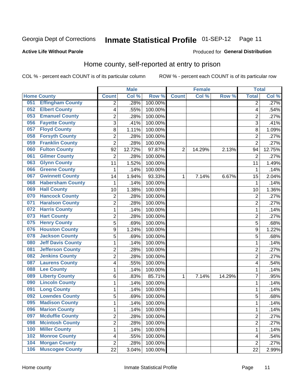#### **Inmate Statistical Profile 01-SEP-12** Page 11

#### **Active Life Without Parole**

#### Produced for General Distribution

### Home county, self-reported at entry to prison

COL % - percent each COUNT is of its particular column

|     |                          |                          | <b>Male</b> |         |                | <b>Female</b> |        | <b>Total</b>   |        |
|-----|--------------------------|--------------------------|-------------|---------|----------------|---------------|--------|----------------|--------|
|     | <b>Home County</b>       | <b>Count</b>             | Col %       | Row %   | <b>Count</b>   | Col%          | Row %  | <b>Total</b>   | Col %  |
| 051 | <b>Effingham County</b>  | 2                        | .28%        | 100.00% |                |               |        | 2              | .27%   |
| 052 | <b>Elbert County</b>     | $\overline{\mathcal{A}}$ | .55%        | 100.00% |                |               |        | 4              | .54%   |
| 053 | <b>Emanuel County</b>    | $\overline{c}$           | .28%        | 100.00% |                |               |        | $\overline{c}$ | .27%   |
| 056 | <b>Fayette County</b>    | 3                        | .41%        | 100.00% |                |               |        | 3              | $-41%$ |
| 057 | <b>Floyd County</b>      | 8                        | 1.11%       | 100.00% |                |               |        | 8              | 1.09%  |
| 058 | <b>Forsyth County</b>    | $\overline{2}$           | .28%        | 100.00% |                |               |        | $\overline{2}$ | .27%   |
| 059 | <b>Franklin County</b>   | $\overline{2}$           | .28%        | 100.00% |                |               |        | $\overline{2}$ | .27%   |
| 060 | <b>Fulton County</b>     | 92                       | 12.72%      | 97.87%  | $\overline{2}$ | 14.29%        | 2.13%  | 94             | 12.75% |
| 061 | <b>Gilmer County</b>     | $\overline{2}$           | .28%        | 100.00% |                |               |        | $\overline{2}$ | .27%   |
| 063 | <b>Glynn County</b>      | 11                       | 1.52%       | 100.00% |                |               |        | 11             | 1.49%  |
| 066 | <b>Greene County</b>     | 1                        | .14%        | 100.00% |                |               |        | 1              | .14%   |
| 067 | <b>Gwinnett County</b>   | 14                       | 1.94%       | 93.33%  | 1              | 7.14%         | 6.67%  | 15             | 2.04%  |
| 068 | <b>Habersham County</b>  | $\mathbf{1}$             | .14%        | 100.00% |                |               |        | 1              | .14%   |
| 069 | <b>Hall County</b>       | 10                       | 1.38%       | 100.00% |                |               |        | 10             | 1.36%  |
| 070 | <b>Hancock County</b>    | $\overline{2}$           | .28%        | 100.00% |                |               |        | $\overline{2}$ | .27%   |
| 071 | <b>Haralson County</b>   | $\overline{2}$           | .28%        | 100.00% |                |               |        | $\overline{2}$ | .27%   |
| 072 | <b>Harris County</b>     | $\mathbf{1}$             | .14%        | 100.00% |                |               |        | 1              | .14%   |
| 073 | <b>Hart County</b>       | $\overline{2}$           | .28%        | 100.00% |                |               |        | $\overline{2}$ | .27%   |
| 075 | <b>Henry County</b>      | 5                        | .69%        | 100.00% |                |               |        | 5              | .68%   |
| 076 | <b>Houston County</b>    | 9                        | 1.24%       | 100.00% |                |               |        | 9              | 1.22%  |
| 078 | <b>Jackson County</b>    | 5                        | .69%        | 100.00% |                |               |        | 5              | .68%   |
| 080 | <b>Jeff Davis County</b> | $\mathbf{1}$             | .14%        | 100.00% |                |               |        | 1              | .14%   |
| 081 | <b>Jefferson County</b>  | $\overline{2}$           | .28%        | 100.00% |                |               |        | $\overline{c}$ | .27%   |
| 082 | <b>Jenkins County</b>    | $\overline{2}$           | .28%        | 100.00% |                |               |        | $\overline{2}$ | .27%   |
| 087 | <b>Laurens County</b>    | $\overline{\mathcal{A}}$ | .55%        | 100.00% |                |               |        | 4              | .54%   |
| 088 | <b>Lee County</b>        | $\mathbf{1}$             | .14%        | 100.00% |                |               |        | 1              | .14%   |
| 089 | <b>Liberty County</b>    | 6                        | .83%        | 85.71%  | 1              | 7.14%         | 14.29% | 7              | .95%   |
| 090 | <b>Lincoln County</b>    | $\mathbf{1}$             | .14%        | 100.00% |                |               |        | 1              | .14%   |
| 091 | <b>Long County</b>       | 1                        | .14%        | 100.00% |                |               |        | 1              | .14%   |
| 092 | <b>Lowndes County</b>    | 5                        | .69%        | 100.00% |                |               |        | 5              | .68%   |
| 095 | <b>Madison County</b>    | $\mathbf{1}$             | .14%        | 100.00% |                |               |        | 1              | .14%   |
| 096 | <b>Marion County</b>     | 1                        | .14%        | 100.00% |                |               |        | 1              | .14%   |
| 097 | <b>Mcduffie County</b>   | $\overline{2}$           | .28%        | 100.00% |                |               |        | $\overline{2}$ | .27%   |
| 098 | <b>Mcintosh County</b>   | $\overline{2}$           | .28%        | 100.00% |                |               |        | 2              | .27%   |
| 100 | <b>Miller County</b>     | $\mathbf 1$              | .14%        | 100.00% |                |               |        | 1              | .14%   |
| 102 | <b>Monroe County</b>     | $\overline{\mathcal{A}}$ | .55%        | 100.00% |                |               |        | 4              | .54%   |
| 104 | <b>Morgan County</b>     | $\overline{2}$           | .28%        | 100.00% |                |               |        | $\overline{2}$ | .27%   |
| 106 | <b>Muscogee County</b>   | 22                       | 3.04%       | 100.00% |                |               |        | 22             | 2.99%  |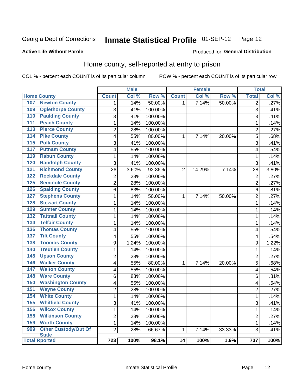# Inmate Statistical Profile 01-SEP-12 Page 12

#### **Active Life Without Parole**

#### Produced for General Distribution

### Home county, self-reported at entry to prison

COL % - percent each COUNT is of its particular column

|                  |                                      |                         | <b>Male</b> |         |                 | <b>Female</b> |        | <b>Total</b>   |       |
|------------------|--------------------------------------|-------------------------|-------------|---------|-----------------|---------------|--------|----------------|-------|
|                  | <b>Home County</b>                   | <b>Count</b>            | Col %       | Row %   | <b>Count</b>    | Col %         | Row %  | <b>Total</b>   | Col % |
| 107              | <b>Newton County</b>                 | 1                       | .14%        | 50.00%  | $\mathbf{1}$    | 7.14%         | 50.00% | $\overline{2}$ | .27%  |
| 109              | <b>Oglethorpe County</b>             | $\overline{3}$          | .41%        | 100.00% |                 |               |        | 3              | .41%  |
| 110              | <b>Paulding County</b>               | 3                       | .41%        | 100.00% |                 |               |        | 3              | .41%  |
| 111              | <b>Peach County</b>                  | $\mathbf{1}$            | .14%        | 100.00% |                 |               |        | 1              | .14%  |
| 113              | <b>Pierce County</b>                 | $\overline{2}$          | .28%        | 100.00% |                 |               |        | $\overline{c}$ | .27%  |
| 114              | <b>Pike County</b>                   | $\overline{\mathbf{4}}$ | .55%        | 80.00%  | $\mathbf 1$     | 7.14%         | 20.00% | 5              | .68%  |
| 115              | <b>Polk County</b>                   | $\sqrt{3}$              | .41%        | 100.00% |                 |               |        | 3              | .41%  |
| 117              | <b>Putnam County</b>                 | $\overline{\mathbf{4}}$ | .55%        | 100.00% |                 |               |        | 4              | .54%  |
| 119              | <b>Rabun County</b>                  | $\mathbf{1}$            | .14%        | 100.00% |                 |               |        | 1              | .14%  |
| 120              | <b>Randolph County</b>               | 3                       | .41%        | 100.00% |                 |               |        | 3              | .41%  |
| $\overline{121}$ | <b>Richmond County</b>               | 26                      | 3.60%       | 92.86%  | $\overline{2}$  | 14.29%        | 7.14%  | 28             | 3.80% |
| 122              | <b>Rockdale County</b>               | $\overline{2}$          | .28%        | 100.00% |                 |               |        | $\overline{2}$ | .27%  |
| 125              | <b>Seminole County</b>               | $\overline{2}$          | .28%        | 100.00% |                 |               |        | $\overline{2}$ | .27%  |
| $\overline{126}$ | <b>Spalding County</b>               | $\,6$                   | .83%        | 100.00% |                 |               |        | 6              | .81%  |
| 127              | <b>Stephens County</b>               | $\mathbf 1$             | .14%        | 50.00%  | 1               | 7.14%         | 50.00% | $\overline{2}$ | .27%  |
| 128              | <b>Stewart County</b>                | $\mathbf{1}$            | .14%        | 100.00% |                 |               |        | $\mathbf 1$    | .14%  |
| 129              | <b>Sumter County</b>                 | $\mathbf{1}$            | .14%        | 100.00% |                 |               |        | 1              | .14%  |
| $\overline{132}$ | <b>Tattnall County</b>               | $\mathbf{1}$            | .14%        | 100.00% |                 |               |        | 1              | .14%  |
| 134              | <b>Telfair County</b>                | $\mathbf{1}$            | .14%        | 100.00% |                 |               |        | 1              | .14%  |
| 136              | <b>Thomas County</b>                 | $\overline{\mathbf{4}}$ | .55%        | 100.00% |                 |               |        | 4              | .54%  |
| 137              | <b>Tift County</b>                   | 4                       | .55%        | 100.00% |                 |               |        | 4              | .54%  |
| 138              | <b>Toombs County</b>                 | $\boldsymbol{9}$        | 1.24%       | 100.00% |                 |               |        | 9              | 1.22% |
| 140              | <b>Treutlen County</b>               | $\mathbf{1}$            | .14%        | 100.00% |                 |               |        | 1              | .14%  |
| $\overline{145}$ | <b>Upson County</b>                  | $\overline{2}$          | .28%        | 100.00% |                 |               |        | $\overline{c}$ | .27%  |
| 146              | <b>Walker County</b>                 | $\overline{4}$          | .55%        | 80.00%  | 1               | 7.14%         | 20.00% | $\overline{5}$ | .68%  |
| 147              | <b>Walton County</b>                 | $\overline{\mathbf{4}}$ | .55%        | 100.00% |                 |               |        | 4              | .54%  |
| 148              | <b>Ware County</b>                   | $\,6$                   | .83%        | 100.00% |                 |               |        | 6              | .81%  |
| 150              | <b>Washington County</b>             | $\overline{\mathbf{4}}$ | .55%        | 100.00% |                 |               |        | 4              | .54%  |
| 151              | <b>Wayne County</b>                  | $\overline{2}$          | .28%        | 100.00% |                 |               |        | $\overline{2}$ | .27%  |
| 154              | <b>White County</b>                  | $\mathbf{1}$            | .14%        | 100.00% |                 |               |        | $\mathbf 1$    | .14%  |
| 155              | <b>Whitfield County</b>              | $\overline{3}$          | .41%        | 100.00% |                 |               |        | 3              | .41%  |
| 156              | <b>Wilcox County</b>                 | $\mathbf{1}$            | .14%        | 100.00% |                 |               |        | 1              | .14%  |
| 158              | <b>Wilkinson County</b>              | $\overline{2}$          | .28%        | 100.00% |                 |               |        | $\overline{2}$ | .27%  |
| 159              | <b>Worth County</b>                  | $\mathbf{1}$            | .14%        | 100.00% |                 |               |        | $\mathbf 1$    | .14%  |
| 999              | <b>Other Custody/Out Of</b>          | $\overline{2}$          | .28%        | 66.67%  | 1               | 7.14%         | 33.33% | 3              | .41%  |
|                  | <b>State</b><br><b>Total Rported</b> | 723                     | 100%        | 98.1%   | $\overline{14}$ | 100%          | 1.9%   | 737            | 100%  |
|                  |                                      |                         |             |         |                 |               |        |                |       |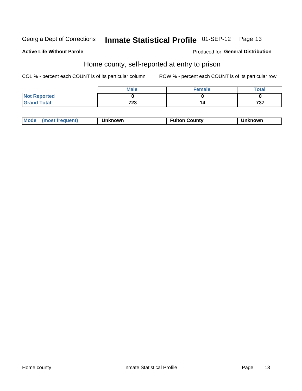# Inmate Statistical Profile 01-SEP-12 Page 13

#### **Active Life Without Parole**

#### Produced for General Distribution

### Home county, self-reported at entry to prison

COL % - percent each COUNT is of its particular column

|                     | <b>Male</b> | <b>Female</b> | Total |
|---------------------|-------------|---------------|-------|
| <b>Not Reported</b> |             |               |       |
| <b>Grand Total</b>  | 723         | 14            | 737   |

| Mode<br>(most frequent)<br>າknown | <b>Fulton County</b> | าknown |
|-----------------------------------|----------------------|--------|
|-----------------------------------|----------------------|--------|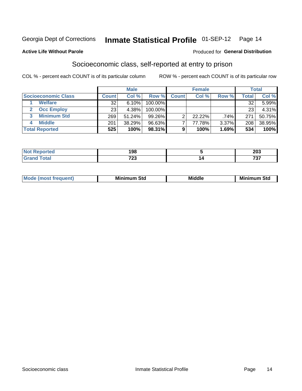## Inmate Statistical Profile 01-SEP-12 Page 14

#### **Active Life Without Parole**

#### Produced for General Distribution

### Socioeconomic class, self-reported at entry to prison

COL % - percent each COUNT is of its particular column

|                         | <b>Male</b><br><b>Female</b> |        |            | <b>Total</b> |        |       |       |        |
|-------------------------|------------------------------|--------|------------|--------------|--------|-------|-------|--------|
| Socioeconomic Class     | <b>Count</b>                 | Col %  | Row %      | <b>Count</b> | Col %  | Row % | Total | Col %  |
| <b>Welfare</b>          | 32                           | 6.10%  | 100.00%    |              |        |       | 32    | 5.99%  |
| <b>Occ Employ</b>       | 23                           | 4.38%  | $100.00\%$ |              |        |       | 23    | 4.31%  |
| <b>Minimum Std</b><br>3 | 269                          | 51.24% | $99.26\%$  |              | 22.22% | .74%  | 271   | 50.75% |
| <b>Middle</b>           | 201                          | 38.29% | 96.63%     |              | 77.78% | 3.37% | 208   | 38.95% |
| <b>Total Reported</b>   | 525                          | 100%   | 98.31%     | 9            | 100%   | 1.69% | 534   | 100%   |

|      | 198          | $\sim$<br>∠∪ง                        |
|------|--------------|--------------------------------------|
| ____ | 700<br>ن ۽ ا | $\rightarrow$ $\rightarrow$<br>, , , |

| ____ |
|------|
|------|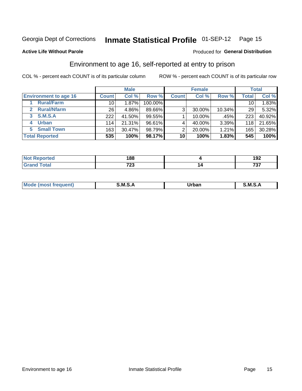# Inmate Statistical Profile 01-SEP-12 Page 15

#### **Active Life Without Parole**

#### Produced for General Distribution

### Environment to age 16, self-reported at entry to prison

COL % - percent each COUNT is of its particular column

|                                    |                 | <b>Male</b> |         |              | <b>Female</b> |        |                 | <b>Total</b> |
|------------------------------------|-----------------|-------------|---------|--------------|---------------|--------|-----------------|--------------|
| <b>Environment to age 16</b>       | <b>Count</b>    | Col %       | Row %   | <b>Count</b> | Col %         | Row %  | <b>Total</b>    | Col %        |
| <b>Rural/Farm</b>                  | 10              | $1.87\%$    | 100.00% |              |               |        | 10 <sub>1</sub> | 1.83%        |
| <b>Rural/Nfarm</b><br>$\mathbf{2}$ | 26 <sub>1</sub> | 4.86%       | 89.66%  | 3            | 30.00%        | 10.34% | 29              | 5.32%        |
| 3 S.M.S.A                          | 222             | 41.50%      | 99.55%  |              | 10.00%        | .45%   | 223             | 40.92%       |
| <b>Urban</b><br>4                  | 114             | 21.31%      | 96.61%  |              | 40.00%        | 3.39%  | 118             | 21.65%       |
| 5 Small Town                       | 163             | 30.47%      | 98.79%  | っ            | 20.00%        | 1.21%  | 165             | 30.28%       |
| <b>Total Reported</b>              | 535             | 100%        | 98.17%  | 10           | 100%          | 1.83%  | 545             | 100%         |

| .<br>הש<br>τeα<br>$\sim$ | 188                     | ,<br>JZ. |
|--------------------------|-------------------------|----------|
|                          | 700<br>$\sim$ 20 $\sim$ | $-$<br>ັ |

| Mo | M | lulaam<br>Ua.<br>_____ | M |
|----|---|------------------------|---|
|    |   |                        |   |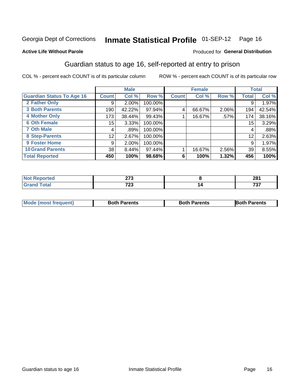# Inmate Statistical Profile 01-SEP-12 Page 16

#### **Active Life Without Parole**

#### Produced for General Distribution

### Guardian status to age 16, self-reported at entry to prison

COL % - percent each COUNT is of its particular column

|                                  |              | <b>Male</b> |         |              | <b>Female</b> |       |       | <b>Total</b> |
|----------------------------------|--------------|-------------|---------|--------------|---------------|-------|-------|--------------|
| <b>Guardian Status To Age 16</b> | <b>Count</b> | Col %       | Row %   | <b>Count</b> | Col %         | Row % | Total | Col %        |
| 2 Father Only                    | 9            | $2.00\%$    | 100.00% |              |               |       | 9     | 1.97%        |
| <b>3 Both Parents</b>            | 190          | 42.22%      | 97.94%  | 4            | 66.67%        | 2.06% | 194   | 42.54%       |
| <b>4 Mother Only</b>             | 173          | 38.44%      | 99.43%  |              | 16.67%        | .57%  | 174   | 38.16%       |
| <b>6 Oth Female</b>              | 15           | 3.33%       | 100.00% |              |               |       | 15    | 3.29%        |
| <b>7 Oth Male</b>                | 4            | .89%        | 100.00% |              |               |       | 4     | .88%         |
| 8 Step-Parents                   | 12           | 2.67%       | 100.00% |              |               |       | 12    | 2.63%        |
| <b>9 Foster Home</b>             | 9            | $2.00\%$    | 100.00% |              |               |       | 9     | 1.97%        |
| <b>10 Grand Parents</b>          | 38           | 8.44%       | 97.44%  |              | 16.67%        | 2.56% | 39    | 8.55%        |
| <b>Total Reported</b>            | 450          | 100%        | 98.68%  | 6            | 100%          | 1.32% | 456   | 100%         |

| tet o | $\sim$<br>$\sim$  | 504<br>ZU I |
|-------|-------------------|-------------|
|       | 700<br>- 20<br>__ | 707         |

| <b>Mode (most frequent)</b> | <b>Both Parents</b> | <b>Both Parents</b> | <b>Both Parents</b> |
|-----------------------------|---------------------|---------------------|---------------------|
|                             |                     |                     |                     |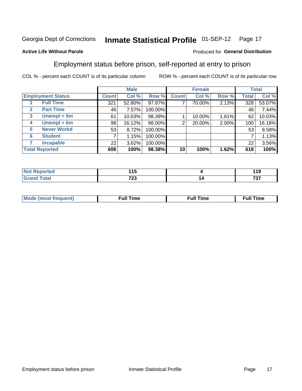#### **Inmate Statistical Profile 01-SEP-12** Page 17

#### **Active Life Without Parole**

#### Produced for General Distribution

### Employment status before prison, self-reported at entry to prison

COL % - percent each COUNT is of its particular column

|                          |              | <b>Male</b> |         |              | <b>Female</b> |       |       | <b>Total</b> |
|--------------------------|--------------|-------------|---------|--------------|---------------|-------|-------|--------------|
| <b>Employment Status</b> | <b>Count</b> | Col %       | Row %   | <b>Count</b> | Col %         | Row % | Total | Col %        |
| <b>Full Time</b>         | 321          | 52.80%      | 97.87%  | ⇁            | 70.00%        | 2.13% | 328   | 53.07%       |
| <b>Part Time</b><br>2    | 46           | 7.57%       | 100.00% |              |               |       | 46    | 7.44%        |
| Unempl $<$ 6m<br>3       | 61           | 10.03%      | 98.39%  |              | 10.00%        | 1.61% | 62    | 10.03%       |
| Unempl > 6m<br>4         | 98           | 16.12%      | 98.00%  | 2            | 20.00%        | 2.00% | 100   | 16.18%       |
| <b>Never Workd</b><br>5  | 53           | 8.72%       | 100.00% |              |               |       | 53    | 8.58%        |
| <b>Student</b><br>6      |              | 1.15%       | 100.00% |              |               |       | ⇁     | 1.13%        |
| <b>Incapable</b><br>7    | 22           | 3.62%       | 100.00% |              |               |       | 22    | 3.56%        |
| <b>Total Reported</b>    | 608          | 100%        | 98.38%  | 10           | 100%          | 1.62% | 618   | 100%         |

| τeι | 14 C<br>. . J |     | 140<br>4 A<br>. J<br>$ -$ |
|-----|---------------|-----|---------------------------|
|     | っへへ           | I 2 | ラヘラ                       |
|     | <b>145</b>    |     | ,,,                       |

| Mc | ∴ul! | ----<br>ıme<br>w |
|----|------|------------------|
|    |      |                  |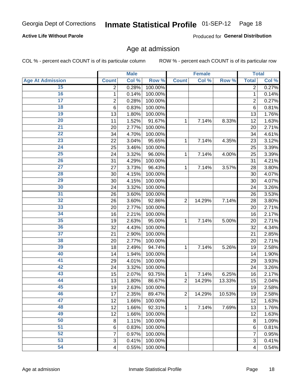# Inmate Statistical Profile 01-SEP-12 Page 18

#### **Active Life Without Parole**

Produced for General Distribution

#### Age at admission

COL % - percent each COUNT is of its particular column

|                         |                 | <b>Male</b> |         |                | <b>Female</b> |        |                         | <b>Total</b> |
|-------------------------|-----------------|-------------|---------|----------------|---------------|--------|-------------------------|--------------|
| <b>Age At Admission</b> | <b>Count</b>    | Col %       | Row %   | <b>Count</b>   | Col %         | Row %  | <b>Total</b>            | Col %        |
| 15                      | 2               | 0.28%       | 100.00% |                |               |        | 2                       | 0.27%        |
| 16                      | 1               | 0.14%       | 100.00% |                |               |        | $\mathbf{1}$            | 0.14%        |
| $\overline{17}$         | 2               | 0.28%       | 100.00% |                |               |        | $\overline{2}$          | 0.27%        |
| 18                      | $6\phantom{1}6$ | 0.83%       | 100.00% |                |               |        | 6                       | 0.81%        |
| 19                      | 13              | 1.80%       | 100.00% |                |               |        | 13                      | 1.76%        |
| $\overline{20}$         | 11              | 1.52%       | 91.67%  | 1              | 7.14%         | 8.33%  | 12                      | 1.63%        |
| 21                      | 20              | 2.77%       | 100.00% |                |               |        | 20                      | 2.71%        |
| 22                      | 34              | 4.70%       | 100.00% |                |               |        | 34                      | 4.61%        |
| 23                      | 22              | 3.04%       | 95.65%  | 1              | 7.14%         | 4.35%  | 23                      | 3.12%        |
| 24                      | 25              | 3.46%       | 100.00% |                |               |        | 25                      | 3.39%        |
| $\overline{25}$         | 24              | 3.32%       | 96.00%  | 1              | 7.14%         | 4.00%  | 25                      | 3.39%        |
| 26                      | 31              | 4.29%       | 100.00% |                |               |        | 31                      | 4.21%        |
| $\overline{27}$         | 27              | 3.73%       | 96.43%  | 1              | 7.14%         | 3.57%  | 28                      | 3.80%        |
| 28                      | 30              | 4.15%       | 100.00% |                |               |        | 30                      | 4.07%        |
| 29                      | 30              | 4.15%       | 100.00% |                |               |        | 30                      | 4.07%        |
| 30                      | 24              | 3.32%       | 100.00% |                |               |        | 24                      | 3.26%        |
| 31                      | 26              | 3.60%       | 100.00% |                |               |        | 26                      | 3.53%        |
| 32                      | 26              | 3.60%       | 92.86%  | $\overline{2}$ | 14.29%        | 7.14%  | 28                      | 3.80%        |
| 33                      | 20              | 2.77%       | 100.00% |                |               |        | 20                      | 2.71%        |
| 34                      | 16              | 2.21%       | 100.00% |                |               |        | 16                      | 2.17%        |
| 35                      | 19              | 2.63%       | 95.00%  | 1              | 7.14%         | 5.00%  | 20                      | 2.71%        |
| 36                      | 32              | 4.43%       | 100.00% |                |               |        | 32                      | 4.34%        |
| $\overline{37}$         | 21              | 2.90%       | 100.00% |                |               |        | 21                      | 2.85%        |
| 38                      | 20              | 2.77%       | 100.00% |                |               |        | 20                      | 2.71%        |
| 39                      | 18              | 2.49%       | 94.74%  | 1              | 7.14%         | 5.26%  | 19                      | 2.58%        |
| 40                      | 14              | 1.94%       | 100.00% |                |               |        | 14                      | 1.90%        |
| 41                      | 29              | 4.01%       | 100.00% |                |               |        | 29                      | 3.93%        |
| 42                      | 24              | 3.32%       | 100.00% |                |               |        | 24                      | 3.26%        |
| 43                      | 15              | 2.07%       | 93.75%  | 1              | 7.14%         | 6.25%  | 16                      | 2.17%        |
| 44                      | 13              | 1.80%       | 86.67%  | $\overline{2}$ | 14.29%        | 13.33% | 15                      | 2.04%        |
| 45                      | 19              | 2.63%       | 100.00% |                |               |        | 19                      | 2.58%        |
| 46                      | 17              | 2.35%       | 89.47%  | $\overline{2}$ | 14.29%        | 10.53% | 19                      | 2.58%        |
| 47                      | 12              | 1.66%       | 100.00% |                |               |        | 12                      | 1.63%        |
| 48                      | 12              | 1.66%       | 92.31%  | 1              | 7.14%         | 7.69%  | 13                      | 1.76%        |
| 49                      | 12              | 1.66%       | 100.00% |                |               |        | 12                      | 1.63%        |
| 50                      | 8               | 1.11%       | 100.00% |                |               |        | 8                       | 1.09%        |
| $\overline{51}$         | $6\phantom{1}6$ | 0.83%       | 100.00% |                |               |        | 6                       | 0.81%        |
| 52                      | 7               | 0.97%       | 100.00% |                |               |        | 7                       | 0.95%        |
| 53                      | 3               | 0.41%       | 100.00% |                |               |        | 3                       | 0.41%        |
| 54                      | $\overline{4}$  | 0.55%       | 100.00% |                |               |        | $\overline{\mathbf{4}}$ | 0.54%        |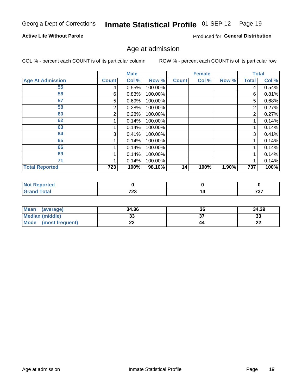# Inmate Statistical Profile 01-SEP-12 Page 19

#### **Active Life Without Parole**

Produced for General Distribution

#### Age at admission

COL % - percent each COUNT is of its particular column

|                         |                | <b>Male</b> |         |              | <b>Female</b> |       |              | <b>Total</b> |
|-------------------------|----------------|-------------|---------|--------------|---------------|-------|--------------|--------------|
| <b>Age At Admission</b> | <b>Count</b>   | Col %       | Row %   | <b>Count</b> | Col %         | Row % | <b>Total</b> | Col %        |
| 55                      | 4              | 0.55%       | 100.00% |              |               |       | 4            | 0.54%        |
| 56                      | 6              | 0.83%       | 100.00% |              |               |       | 6            | 0.81%        |
| 57                      | 5              | 0.69%       | 100.00% |              |               |       | 5            | 0.68%        |
| 58                      | 2              | 0.28%       | 100.00% |              |               |       | 2            | 0.27%        |
| 60                      | $\overline{2}$ | 0.28%       | 100.00% |              |               |       | 2            | 0.27%        |
| 62                      |                | 0.14%       | 100.00% |              |               |       |              | 0.14%        |
| 63                      |                | 0.14%       | 100.00% |              |               |       |              | 0.14%        |
| 64                      | 3              | 0.41%       | 100.00% |              |               |       | 3            | 0.41%        |
| 65                      |                | 0.14%       | 100.00% |              |               |       |              | 0.14%        |
| 66                      |                | 0.14%       | 100.00% |              |               |       |              | 0.14%        |
| 69                      |                | 0.14%       | 100.00% |              |               |       |              | 0.14%        |
| 71                      |                | 0.14%       | 100.00% |              |               |       |              | 0.14%        |
| <b>Total Reported</b>   | 723            | 100%        | 98.10%  | 14           | 100%          | 1.90% | 737          | 100%         |

| <b>rted</b>  |       |     |     |
|--------------|-------|-----|-----|
| $A + \alpha$ | 700   | ı   | ラクラ |
|              | ن ۽ ا | . . | ___ |

| Mean<br>(average)              | 34.36 | 36 | 34.39    |
|--------------------------------|-------|----|----------|
| <b>Median (middle)</b>         | ົ     |    | n.<br>ند |
| <b>Mode</b><br>(most frequent) | --    | 44 | n,<br>LL |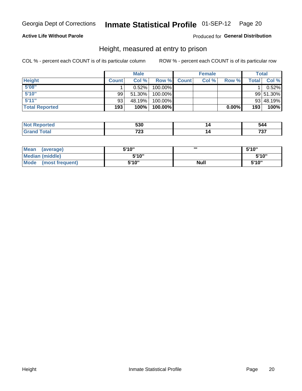#### Inmate Statistical Profile 01-SEP-12 Page 20

#### **Active Life Without Parole**

#### Produced for General Distribution

#### Height, measured at entry to prison

COL % - percent each COUNT is of its particular column

|                       |              | <b>Male</b> |         |              | <b>Female</b> |          |              | Total     |
|-----------------------|--------------|-------------|---------|--------------|---------------|----------|--------------|-----------|
| <b>Height</b>         | <b>Count</b> | Col %       | Row %   | <b>Count</b> | Col %         | Row %    | <b>Total</b> | Col %     |
| 5'08''                |              | $0.52\%$    | 100.00% |              |               |          |              | 0.52%     |
| 5'10''                | 99           | $51.30\%$   | 100.00% |              |               |          |              | 99 51.30% |
| 5'11''                | 93           | 48.19%      | 100.00% |              |               |          |              | 93 48.19% |
| <b>Total Reported</b> | 193          | 100%        | 100.00% |              |               | $0.00\%$ | 193          | 100%      |

| <b>Not</b><br>rted      | 530        | 544 |
|-------------------------|------------|-----|
| <b>c</b> otal<br>'Grand | フへへ<br>ں ک | 707 |

| Mean<br>(average)              | 5'10" | ш           | 5'10" |
|--------------------------------|-------|-------------|-------|
| Median (middle)                | 5'10" |             | 5'10" |
| <b>Mode</b><br>(most frequent) | 5'10" | <b>Null</b> | 5'10" |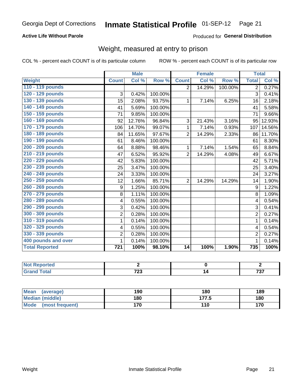#### Inmate Statistical Profile 01-SEP-12 Page 21

#### **Active Life Without Parole**

#### Produced for General Distribution

### Weight, measured at entry to prison

COL % - percent each COUNT is of its particular column

|                       |                | <b>Male</b>               |         |                | <b>Female</b>              |         | <b>Total</b>            |        |
|-----------------------|----------------|---------------------------|---------|----------------|----------------------------|---------|-------------------------|--------|
| Weight                | <b>Count</b>   | $\overline{\text{Col 9}}$ | Row %   | <b>Count</b>   | $\overline{\text{Col }^9}$ | Row %   | <b>Total</b>            | Col %  |
| 110 - 119 pounds      |                |                           |         | $\overline{2}$ | 14.29%                     | 100.00% | $\overline{2}$          | 0.27%  |
| 120 - 129 pounds      | 3              | 0.42%                     | 100.00% |                |                            |         | 3                       | 0.41%  |
| 130 - 139 pounds      | 15             | 2.08%                     | 93.75%  | 1              | 7.14%                      | 6.25%   | 16                      | 2.18%  |
| 140 - 149 pounds      | 41             | 5.69%                     | 100.00% |                |                            |         | 41                      | 5.58%  |
| 150 - 159 pounds      | 71             | 9.85%                     | 100.00% |                |                            |         | 71                      | 9.66%  |
| 160 - 169 pounds      | 92             | 12.76%                    | 96.84%  | 3              | 21.43%                     | 3.16%   | 95                      | 12.93% |
| 170 - 179 pounds      | 106            | 14.70%                    | 99.07%  | 1              | 7.14%                      | 0.93%   | 107                     | 14.56% |
| 180 - 189 pounds      | 84             | 11.65%                    | 97.67%  | $\overline{2}$ | 14.29%                     | 2.33%   | 86                      | 11.70% |
| 190 - 199 pounds      | 61             | 8.46%                     | 100.00% |                |                            |         | 61                      | 8.30%  |
| 200 - 209 pounds      | 64             | 8.88%                     | 98.46%  | 1              | 7.14%                      | 1.54%   | 65                      | 8.84%  |
| 210 - 219 pounds      | 47             | 6.52%                     | 95.92%  | $\overline{2}$ | 14.29%                     | 4.08%   | 49                      | 6.67%  |
| 220 - 229 pounds      | 42             | 5.83%                     | 100.00% |                |                            |         | 42                      | 5.71%  |
| 230 - 239 pounds      | 25             | 3.47%                     | 100.00% |                |                            |         | 25                      | 3.40%  |
| 240 - 249 pounds      | 24             | 3.33%                     | 100.00% |                |                            |         | 24                      | 3.27%  |
| 250 - 259 pounds      | 12             | 1.66%                     | 85.71%  | $\overline{2}$ | 14.29%                     | 14.29%  | 14                      | 1.90%  |
| 260 - 269 pounds      | 9              | 1.25%                     | 100.00% |                |                            |         | 9                       | 1.22%  |
| 270 - 279 pounds      | 8              | 1.11%                     | 100.00% |                |                            |         | 8                       | 1.09%  |
| 280 - 289 pounds      | 4              | 0.55%                     | 100.00% |                |                            |         | $\overline{\mathbf{4}}$ | 0.54%  |
| 290 - 299 pounds      | 3              | 0.42%                     | 100.00% |                |                            |         | 3                       | 0.41%  |
| 300 - 309 pounds      | $\overline{2}$ | 0.28%                     | 100.00% |                |                            |         | $\overline{2}$          | 0.27%  |
| 310 - 319 pounds      | 1              | 0.14%                     | 100.00% |                |                            |         | 1                       | 0.14%  |
| 320 - 329 pounds      | 4              | 0.55%                     | 100.00% |                |                            |         | 4                       | 0.54%  |
| 330 - 339 pounds      | $\overline{2}$ | 0.28%                     | 100.00% |                |                            |         | $\overline{2}$          | 0.27%  |
| 400 pounds and over   | 1              | 0.14%                     | 100.00% |                |                            |         | $\mathbf 1$             | 0.14%  |
| <b>Total Reported</b> | 721            | 100%                      | 98.10%  | 14             | 100%                       | 1.90%   | 735                     | 100%   |

| <b>eportea</b><br>w |      |     |
|---------------------|------|-----|
| <b>otal</b>         | 700  | 707 |
| ---                 | . ZJ |     |

| <b>Mean</b><br>(average)       | 190 | 180   | 189 |
|--------------------------------|-----|-------|-----|
| <b>Median (middle)</b>         | 180 | 177.5 | 180 |
| <b>Mode</b><br>(most frequent) | 170 | 110   | 170 |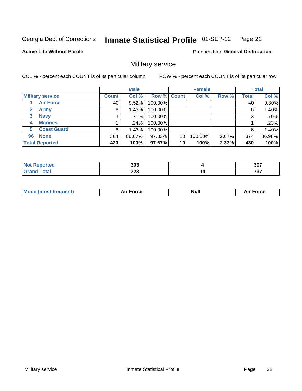#### Inmate Statistical Profile 01-SEP-12 Page 22

#### **Active Life Without Parole**

Produced for General Distribution

### Military service

COL % - percent each COUNT is of its particular column

|                             |              | <b>Male</b> |                    |    | <b>Female</b> |       |              | <b>Total</b> |
|-----------------------------|--------------|-------------|--------------------|----|---------------|-------|--------------|--------------|
| <b>Military service</b>     | <b>Count</b> | Col %       | <b>Row % Count</b> |    | Col %         | Row % | <b>Total</b> | Col %        |
| <b>Air Force</b>            | 40           | 9.52%       | 100.00%            |    |               |       | 40           | 9.30%        |
| $\mathbf{2}$<br><b>Army</b> | 6            | 1.43%       | 100.00%            |    |               |       | 6            | 1.40%        |
| <b>Navy</b><br>3            | 3            | .71%        | 100.00%            |    |               |       | 3            | .70%         |
| <b>Marines</b><br>4         |              | $.24\%$     | 100.00%            |    |               |       |              | .23%         |
| <b>Coast Guard</b><br>5.    | 6            | 1.43%       | 100.00%            |    |               |       | 6            | 1.40%        |
| <b>None</b><br>96           | 364          | 86.67%      | 97.33%             | 10 | 100.00%       | 2.67% | 374          | 86.98%       |
| <b>Total Reported</b>       | 420          | 100%        | 97.67%             | 10 | 100%          | 2.33% | 430          | 100%         |

| rted              | 303  |    | 307                         |
|-------------------|------|----|-----------------------------|
| $f \sim f \sim f$ | フヘヘ  | 14 | $\rightarrow$ $\rightarrow$ |
| υιαι              | ט בו |    | , J I                       |

|  |  | <b>Mode</b><br>uent)<br>most tren | Force<br>Aır | <b>Null</b> | orce |
|--|--|-----------------------------------|--------------|-------------|------|
|--|--|-----------------------------------|--------------|-------------|------|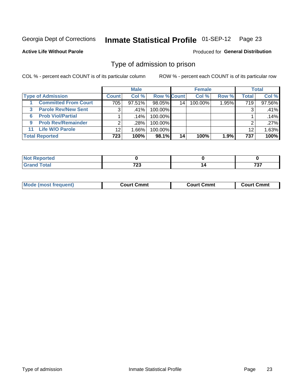#### **Inmate Statistical Profile 01-SEP-12** Page 23

**Active Life Without Parole** 

Produced for General Distribution

#### Type of admission to prison

COL % - percent each COUNT is of its particular column

|                                 |                 | <b>Male</b> |                    |                 | <b>Female</b> |       |       | <b>Total</b> |
|---------------------------------|-----------------|-------------|--------------------|-----------------|---------------|-------|-------|--------------|
| <b>Type of Admission</b>        | <b>Count</b>    | Col %       | <b>Row % Count</b> |                 | Col %         | Row % | Total | Col %        |
| <b>Committed From Court</b>     | 705             | $97.51\%$   | 98.05%             | 14              | 100.00%       | 1.95% | 719   | 97.56%       |
| <b>Parole Rev/New Sent</b><br>3 | 3               | ا %41.      | 100.00%            |                 |               |       | 3     | .41%         |
| <b>Prob Viol/Partial</b><br>6.  |                 | ا 14%.      | 100.00%            |                 |               |       |       | .14%         |
| <b>Prob Rev/Remainder</b><br>9  | 2               | $.28\%$     | 100.00%            |                 |               |       | ⌒     | .27%         |
| <b>Life W/O Parole</b><br>11    | 12 <sup>°</sup> | 1.66%       | 100.00%            |                 |               |       | 12    | 1.63%        |
| <b>Total Reported</b>           | 723             | 100%        | 98.1%              | 14 <sub>1</sub> | 100%          | 1.9%  | 737   | 100%         |

| <b>norted</b><br><b>NOT</b> |      |     |
|-----------------------------|------|-----|
| $T0$ tal                    | 700  | ラヘラ |
| <b>C.A.</b>                 | 1 LJ | .   |

| Mod<br>frequent)<br><b>TA IMOST 1.</b> | Court Cmmt<br>$\sim$ $\sim$ | วmmt<br>∴ourt | ∶ Cmmt<br>∴∩⊔rt∴ |
|----------------------------------------|-----------------------------|---------------|------------------|
|                                        |                             |               |                  |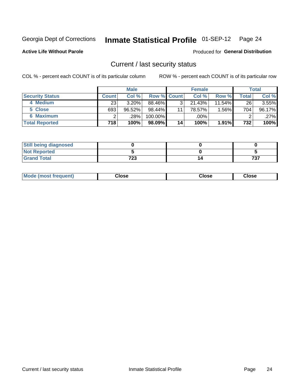# Inmate Statistical Profile 01-SEP-12 Page 24

**Active Life Without Parole** 

Produced for General Distribution

#### Current / last security status

COL % - percent each COUNT is of its particular column

|                        |              | <b>Male</b> |                    |    | <b>Female</b> |           |       | <b>Total</b> |
|------------------------|--------------|-------------|--------------------|----|---------------|-----------|-------|--------------|
| <b>Security Status</b> | <b>Count</b> | Col %       | <b>Row % Count</b> |    | Col %         | Row %     | Total | Col %        |
| 4 Medium               | 23           | 3.20%       | 88.46%             | 3  | 21.43%        | $11.54\%$ | 26    | 3.55%        |
| 5 Close                | 693          | 96.52%      | $98.44\%$          | 11 | 78.57%        | 1.56%     | 704   | 96.17%       |
| <b>6 Maximum</b>       |              | $.28\%$     | 100.00%            |    | .00%          |           |       | $.27\%$      |
| <b>Total Reported</b>  | 718          | 100%        | $98.09\%$          | 14 | 100%          | 1.91%     | 732   | 100%         |

| <b>Still being diagnosed</b> |            |     |
|------------------------------|------------|-----|
| <b>Not Reported</b>          |            |     |
| <b>Grand Total</b>           | フクク<br>د ۽ | ラヘー |

| Mode (most frequent) | Close | Close | <b>Close</b> |
|----------------------|-------|-------|--------------|
|                      |       |       |              |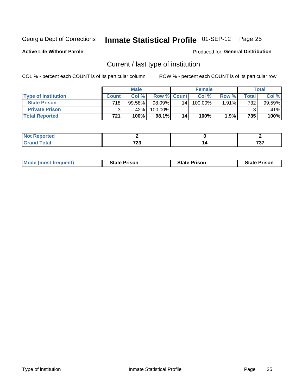# Inmate Statistical Profile 01-SEP-12 Page 25

**Active Life Without Parole** 

Produced for General Distribution

### Current / last type of institution

COL % - percent each COUNT is of its particular column

|                            |       | <b>Male</b> |                    |    | <b>Female</b> |       |                    | <b>Total</b> |
|----------------------------|-------|-------------|--------------------|----|---------------|-------|--------------------|--------------|
| <b>Type of Institution</b> | Count | Col %       | <b>Row % Count</b> |    | Col %         | Row % | $\mathsf{Total}$ . | Col %        |
| <b>State Prison</b>        | 718   | 99.58%      | 98.09%             | 14 | $100.00\%$    | 1.91% | 732                | 99.59%       |
| <b>Private Prison</b>      |       | .42%        | 100.00%            |    |               |       |                    | .41%         |
| <b>Total Reported</b>      | 721   | 100%        | 98.1%              | 14 | 100%          | 1.9%  | 735                | 100%         |

| tea                 |                                          |                 |
|---------------------|------------------------------------------|-----------------|
| <u>i otal</u><br>-- | $\overline{\phantom{a}}$<br>--<br>$\sim$ | $- \sim$<br>. . |

| <b>Mode (most frequent)</b> | <b>State Prison</b> | <b>State Prison</b> | <b>State Prison</b> |
|-----------------------------|---------------------|---------------------|---------------------|
|                             |                     |                     |                     |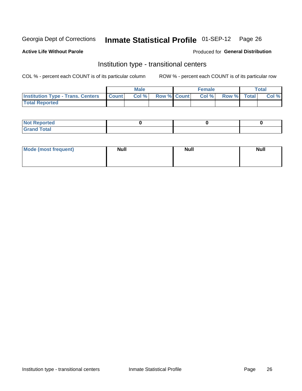# Inmate Statistical Profile 01-SEP-12 Page 26

**Active Life Without Parole** 

#### Produced for General Distribution

### Institution type - transitional centers

COL % - percent each COUNT is of its particular column

|                                                | Male  |                    | <b>Female</b> |                   | Total |
|------------------------------------------------|-------|--------------------|---------------|-------------------|-------|
| <b>Institution Type - Trans. Centers Count</b> | Col % | <b>Row % Count</b> |               | Col % Row % Total | Col % |
| <b>Total Reported</b>                          |       |                    |               |                   |       |

| <b>Reported</b><br><b>NOT</b><br>$\sim$            |  |  |
|----------------------------------------------------|--|--|
| $f$ $f \circ f \circ f$<br>$C = 1$<br><b>TULAI</b> |  |  |

| Mode (most frequent) | <b>Null</b> | <b>Null</b> | <b>Null</b> |
|----------------------|-------------|-------------|-------------|
|                      |             |             |             |
|                      |             |             |             |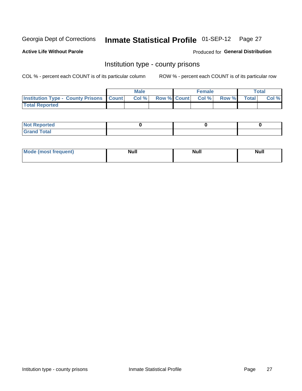# Inmate Statistical Profile 01-SEP-12 Page 27

**Active Life Without Parole** 

**Produced for General Distribution** 

#### Institution type - county prisons

COL % - percent each COUNT is of its particular column

|                                                    | <b>Male</b> |  | <b>Female</b>            |             | <b>Total</b> |
|----------------------------------------------------|-------------|--|--------------------------|-------------|--------------|
| <b>Institution Type - County Prisons   Count  </b> | Col %       |  | <b>Row % Count Col %</b> | Row % Total | Col %        |
| <b>Total Reported</b>                              |             |  |                          |             |              |

| <b>Not Reported</b>         |  |  |
|-----------------------------|--|--|
| <b>Total</b><br>-<br>______ |  |  |

| <b>Mode</b>      | <b>Null</b> | <b>Null</b> | <b>Null</b> |
|------------------|-------------|-------------|-------------|
| (most freauent). |             |             |             |
|                  |             |             |             |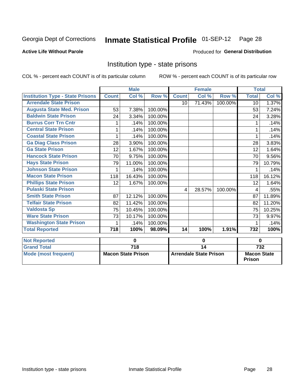#### Inmate Statistical Profile 01-SEP-12 Page 28

#### **Active Life Without Parole**

#### Produced for General Distribution

### Institution type - state prisons

COL % - percent each COUNT is of its particular column

|                                         |              | <b>Male</b>               |         |                 | <b>Female</b>                 |         | <b>Total</b>                        |          |
|-----------------------------------------|--------------|---------------------------|---------|-----------------|-------------------------------|---------|-------------------------------------|----------|
| <b>Institution Type - State Prisons</b> | <b>Count</b> | Col %                     | Row %   | <b>Count</b>    | Col %                         | Row %   | <b>Total</b>                        | Col %    |
| <b>Arrendale State Prison</b>           |              |                           |         | 10              | 71.43%                        | 100.00% | 10 <sup>°</sup>                     | 1.37%    |
| <b>Augusta State Med. Prison</b>        | 53           | 7.38%                     | 100.00% |                 |                               |         | 53                                  | 7.24%    |
| <b>Baldwin State Prison</b>             | 24           | 3.34%                     | 100.00% |                 |                               |         | 24                                  | 3.28%    |
| <b>Burrus Corr Trn Cntr</b>             |              | .14%                      | 100.00% |                 |                               |         |                                     | .14%     |
| <b>Central State Prison</b>             |              | .14%                      | 100.00% |                 |                               |         |                                     | .14%     |
| <b>Coastal State Prison</b>             | 1            | .14%                      | 100.00% |                 |                               |         | 1                                   | .14%     |
| <b>Ga Diag Class Prison</b>             | 28           | 3.90%                     | 100.00% |                 |                               |         | 28                                  | 3.83%    |
| <b>Ga State Prison</b>                  | 12           | 1.67%                     | 100.00% |                 |                               |         | 12                                  | 1.64%    |
| <b>Hancock State Prison</b>             | 70           | 9.75%                     | 100.00% |                 |                               |         | 70                                  | 9.56%    |
| <b>Hays State Prison</b>                | 79           | 11.00%                    | 100.00% |                 |                               |         | 79                                  | 10.79%   |
| <b>Johnson State Prison</b>             |              | .14%                      | 100.00% |                 |                               |         |                                     | .14%     |
| <b>Macon State Prison</b>               | 118          | 16.43%                    | 100.00% |                 |                               |         | 118                                 | 16.12%   |
| <b>Phillips State Prison</b>            | 12           | 1.67%                     | 100.00% |                 |                               |         | 12                                  | 1.64%    |
| <b>Pulaski State Prison</b>             |              |                           |         | 4               | 28.57%                        | 100.00% | 4                                   | .55%     |
| <b>Smith State Prison</b>               | 87           | 12.12%                    | 100.00% |                 |                               |         | 87                                  | 11.89%   |
| <b>Telfair State Prison</b>             | 82           | 11.42%                    | 100.00% |                 |                               |         | 82                                  | 11.20%   |
| <b>Valdosta Sp</b>                      | 75           | 10.45%                    | 100.00% |                 |                               |         | 75                                  | 10.25%   |
| <b>Ware State Prison</b>                | 73           | 10.17%                    | 100.00% |                 |                               |         | 73                                  | 9.97%    |
| <b>Washington State Prison</b>          | 1            | .14%                      | 100.00% |                 |                               |         | 1                                   | .14%     |
| <b>Total Reported</b>                   | 718          | 100%                      | 98.09%  | 14              | 100%                          | 1.91%   | 732                                 | 100%     |
| <b>Not Reported</b>                     |              | 0                         |         |                 | $\bf{0}$                      |         |                                     | $\bf{0}$ |
| <b>Grand Total</b>                      |              | $\overline{718}$          |         | $\overline{14}$ |                               |         |                                     | 732      |
| <b>Mode (most frequent)</b>             |              | <b>Macon State Prison</b> |         |                 | <b>Arrendale State Prison</b> |         | <b>Macon State</b><br><b>Prison</b> |          |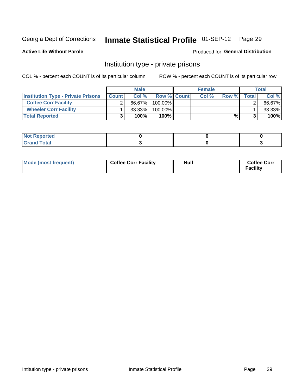# Inmate Statistical Profile 01-SEP-12 Page 29

**Active Life Without Parole** 

Produced for General Distribution

### Institution type - private prisons

COL % - percent each COUNT is of its particular column

|                                           |              | <b>Male</b> |                    | <b>Female</b> |       |              | Total  |
|-------------------------------------------|--------------|-------------|--------------------|---------------|-------|--------------|--------|
| <b>Institution Type - Private Prisons</b> | <b>Count</b> | Col %       | <b>Row % Count</b> | Col%          | Row % | <b>Total</b> | Col %  |
| <b>Coffee Corr Facility</b>               |              | 66.67%      | $100.00\%$         |               |       |              | 66.67% |
| <b>Wheeler Corr Facility</b>              |              | $33.33\%$   | 100.00%            |               |       |              | 33.33% |
| <b>Total Reported</b>                     | J            | 100%        | $100\%$            |               | %     |              | 100%   |

| rtea                               |  |  |
|------------------------------------|--|--|
| $\sim$ $\sim$ $\sim$ $\sim$ $\sim$ |  |  |

| Mode (most frequent) | <b>Coffee Corr Facility</b> | <b>Null</b> | <b>Coffee Corr</b><br><b>Facility</b> |
|----------------------|-----------------------------|-------------|---------------------------------------|
|----------------------|-----------------------------|-------------|---------------------------------------|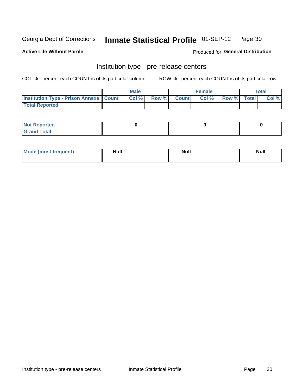# Inmate Statistical Profile 01-SEP-12 Page 30

**Active Life Without Parole** 

Produced for General Distribution

# Institution type - pre-release centers

COL % - percent each COUNT is of its particular column

|                                                   | <b>Male</b> |             | <b>Female</b> |             | <b>Total</b> |
|---------------------------------------------------|-------------|-------------|---------------|-------------|--------------|
| <b>Institution Type - Prison Annexe   Count  </b> | Col%        | Row % Count | Col%          | Row % Total | Col %        |
| <b>Total Reported</b>                             |             |             |               |             |              |

| <b>Reported</b><br>I NOT |  |  |
|--------------------------|--|--|
| <b>Total</b><br>$C$ ren  |  |  |

| <b>Mo</b><br>frequent)<br>(most | <b>Null</b> | <b>Null</b> | <b>Null</b> |
|---------------------------------|-------------|-------------|-------------|
|                                 |             |             |             |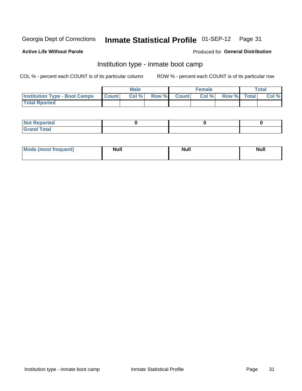# Inmate Statistical Profile 01-SEP-12 Page 31

#### **Active Life Without Parole**

#### **Produced for General Distribution**

### Institution type - inmate boot camp

COL % - percent each COUNT is of its particular column

|                                      |                  | <b>Male</b> |              |              | <b>Female</b> |             | <b>Total</b> |
|--------------------------------------|------------------|-------------|--------------|--------------|---------------|-------------|--------------|
| <b>Institution Type - Boot Camps</b> | <b>I</b> Count I | Col %       | <b>Row %</b> | <b>Count</b> | Col %         | Row % Total | Col %        |
| <b>Total Rported</b>                 |                  |             |              |              |               |             |              |

| <b>Not Reported</b> |  |  |
|---------------------|--|--|
| <b>Total</b><br>Cro |  |  |

| <b>I Mode (most frequent)</b> | <b>Null</b> | <b>Null</b> | <b>Null</b> |
|-------------------------------|-------------|-------------|-------------|
|                               |             |             |             |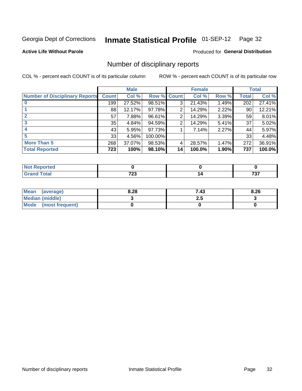# Inmate Statistical Profile 01-SEP-12 Page 32

#### **Active Life Without Parole**

#### **Produced for General Distribution**

### Number of disciplinary reports

COL % - percent each COUNT is of its particular column

|                                       |              | <b>Male</b> |             |    | <b>Female</b> |       |              | <b>Total</b> |
|---------------------------------------|--------------|-------------|-------------|----|---------------|-------|--------------|--------------|
| <b>Number of Disciplinary Reports</b> | <b>Count</b> | Col %       | Row % Count |    | Col %         | Row % | <b>Total</b> | Col %        |
|                                       | 199          | 27.52%      | 98.51%      | 3  | 21.43%        | 1.49% | 202          | 27.41%       |
|                                       | 88           | 12.17%      | 97.78%      | 2  | 14.29%        | 2.22% | 90           | 12.21%       |
|                                       | 57           | 7.88%       | 96.61%      | 2  | 14.29%        | 3.39% | 59           | 8.01%        |
| 3                                     | 35           | 4.84%       | 94.59%      | 2  | 14.29%        | 5.41% | 37           | 5.02%        |
|                                       | 43           | 5.95%       | 97.73%      |    | 7.14%         | 2.27% | 44           | 5.97%        |
| 5                                     | 33           | 4.56%       | 100.00%     |    |               |       | 33           | 4.48%        |
| <b>More Than 5</b>                    | 268          | 37.07%      | 98.53%      | 4  | 28.57%        | 1.47% | 272          | 36.91%       |
| <b>Total Reported</b>                 | 723          | 100%        | 98.10%      | 14 | 100.0%        | 1.90% | 737          | 100.0%       |

| <b>prted</b><br>NOT |               |             |
|---------------------|---------------|-------------|
| Total               | 700<br>$\sim$ | 707<br>, ., |

| Mean (average)       | 8.28 | 7.43 | 8.26 |
|----------------------|------|------|------|
| Median (middle)      |      |      |      |
| Mode (most frequent) |      |      |      |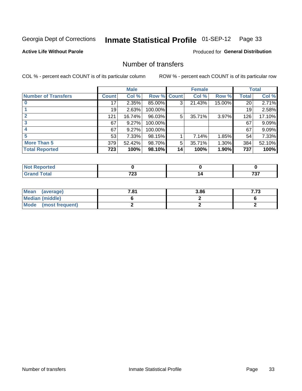# Inmate Statistical Profile 01-SEP-12 Page 33

#### **Active Life Without Parole**

#### **Produced for General Distribution**

### Number of transfers

COL % - percent each COUNT is of its particular column

|                            |         | <b>Male</b> |         |              | <b>Female</b> |        |              | <b>Total</b> |
|----------------------------|---------|-------------|---------|--------------|---------------|--------|--------------|--------------|
| <b>Number of Transfers</b> | Count l | Col %       | Row %   | <b>Count</b> | Col %         | Row %  | <b>Total</b> | Col %        |
|                            | 17      | 2.35%       | 85.00%  | 3            | 21.43%        | 15.00% | 20           | 2.71%        |
|                            | 19      | 2.63%       | 100.00% |              |               |        | 19           | 2.58%        |
|                            | 121     | 16.74%      | 96.03%  | 5            | 35.71%        | 3.97%  | 126          | 17.10%       |
| 3                          | 67      | 9.27%       | 100.00% |              |               |        | 67           | 9.09%        |
|                            | 67      | 9.27%       | 100.00% |              |               |        | 67           | 9.09%        |
| 5                          | 53      | $7.33\%$    | 98.15%  |              | 7.14%         | 1.85%  | 54           | 7.33%        |
| <b>More Than 5</b>         | 379     | 52.42%      | 98.70%  | 5            | 35.71%        | 1.30%  | 384          | 52.10%       |
| <b>Total Reported</b>      | 723     | 100%        | 98.10%  | 14           | 100%          | 1.90%  | 737          | 100%         |

| <b>prted</b><br>NOT |               |             |
|---------------------|---------------|-------------|
| Total               | 700<br>$\sim$ | 707<br>, ., |

| Mean (average)       | 7.81 | 3.86 | フフク<br>د ، ، |
|----------------------|------|------|--------------|
| Median (middle)      |      |      |              |
| Mode (most frequent) |      |      |              |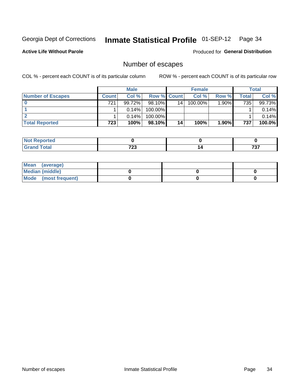# Inmate Statistical Profile 01-SEP-12 Page 34

**Active Life Without Parole** 

**Produced for General Distribution** 

### Number of escapes

COL % - percent each COUNT is of its particular column

|                          |         | <b>Male</b> |                    |    | <b>Female</b> |       |       | <b>Total</b> |
|--------------------------|---------|-------------|--------------------|----|---------------|-------|-------|--------------|
| <b>Number of Escapes</b> | Count l | Col %       | <b>Row % Count</b> |    | Col %         | Row % | Total | Col %        |
|                          | 721     | 99.72%      | $98.10\%$          | 14 | 100.00%       | 1.90% | 735   | 99.73%       |
|                          |         | $0.14\%$    | 100.00%            |    |               |       |       | 0.14%        |
|                          |         | $0.14\%$    | 100.00%            |    |               |       |       | 0.14%        |
| <b>Total Reported</b>    | 723     | 100%        | 98.10%             | 14 | 100%          | 1.90% | 737   | 100.0%       |

| orted<br><b>AUT Reprint</b> |      |       |
|-----------------------------|------|-------|
| <b>fotal</b>                | 700  | -20-2 |
| Grand                       | , 20 | , , , |

| Mean (average)       |  |  |
|----------------------|--|--|
| Median (middle)      |  |  |
| Mode (most frequent) |  |  |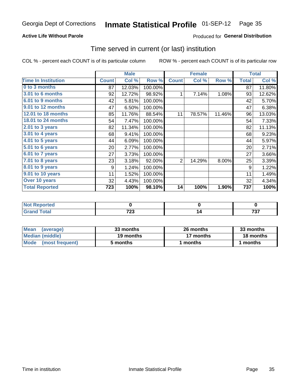#### Inmate Statistical Profile 01-SEP-12 Page 35

#### **Active Life Without Parole**

#### **Produced for General Distribution**

#### Time served in current (or last) institution

COL % - percent each COUNT is of its particular column

|                            |              | <b>Male</b> |         |                | <b>Female</b> |        |                  | <b>Total</b> |
|----------------------------|--------------|-------------|---------|----------------|---------------|--------|------------------|--------------|
| <b>Time In Institution</b> | <b>Count</b> | Col %       | Row %   | <b>Count</b>   | Col %         | Row %  | <b>Total</b>     | Col %        |
| 0 to 3 months              | 87           | 12.03%      | 100.00% |                |               |        | 87               | 11.80%       |
| 3.01 to 6 months           | 92           | 12.72%      | 98.92%  | 1              | 7.14%         | 1.08%  | 93               | 12.62%       |
| 6.01 to 9 months           | 42           | 5.81%       | 100.00% |                |               |        | 42               | 5.70%        |
| 9.01 to 12 months          | 47           | 6.50%       | 100.00% |                |               |        | 47               | 6.38%        |
| 12.01 to 18 months         | 85           | 11.76%      | 88.54%  | 11             | 78.57%        | 11.46% | 96               | 13.03%       |
| 18.01 to 24 months         | 54           | 7.47%       | 100.00% |                |               |        | 54               | 7.33%        |
| $2.01$ to 3 years          | 82           | 11.34%      | 100.00% |                |               |        | 82               | 11.13%       |
| $3.01$ to 4 years          | 68           | 9.41%       | 100.00% |                |               |        | 68               | 9.23%        |
| $4.01$ to 5 years          | 44           | 6.09%       | 100.00% |                |               |        | 44               | 5.97%        |
| $5.01$ to 6 years          | 20           | 2.77%       | 100.00% |                |               |        | 20               | 2.71%        |
| 6.01 to 7 years            | 27           | 3.73%       | 100.00% |                |               |        | 27               | 3.66%        |
| 7.01 to 8 years            | 23           | 3.18%       | 92.00%  | $\overline{2}$ | 14.29%        | 8.00%  | 25               | 3.39%        |
| 8.01 to 9 years            | 9            | 1.24%       | 100.00% |                |               |        | 9                | 1.22%        |
| 9.01 to 10 years           | 11           | 1.52%       | 100.00% |                |               |        | 11               | 1.49%        |
| Over 10 years              | 32           | 4.43%       | 100.00% |                |               |        | 32               | 4.34%        |
| <b>Total Reported</b>      | 723          | 100%        | 98.10%  | 14             | 100%          | 1.90%  | $\overline{737}$ | 100%         |

| <b>Reported</b><br><b>Not</b> |              |            |
|-------------------------------|--------------|------------|
| <b>Total</b>                  | フへへ<br>ن ۽ ا | ラヘラ<br>791 |

| <b>Mean</b><br>(average) | 33 months | 26 months | 33 months |
|--------------------------|-----------|-----------|-----------|
| Median (middle)          | 19 months | 17 months | 18 months |
| Mode (most frequent)     | 5 months  | 1 months  | 1 months  |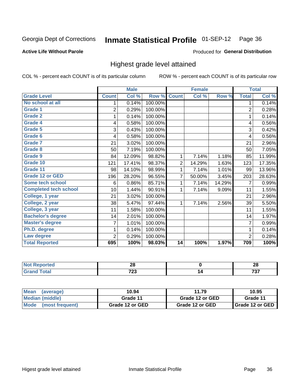# Inmate Statistical Profile 01-SEP-12 Page 36

#### **Active Life Without Parole**

#### Produced for General Distribution

### Highest grade level attained

COL % - percent each COUNT is of its particular column

|                              |                | <b>Male</b> |         |                | <b>Female</b> |        |                | <b>Total</b> |
|------------------------------|----------------|-------------|---------|----------------|---------------|--------|----------------|--------------|
| <b>Grade Level</b>           | <b>Count</b>   | Col %       | Row %   | <b>Count</b>   | Col %         | Row %  | <b>Total</b>   | Col %        |
| No school at all             | 1              | 0.14%       | 100.00% |                |               |        | 1              | 0.14%        |
| <b>Grade 1</b>               | $\overline{2}$ | 0.29%       | 100.00% |                |               |        | $\overline{2}$ | 0.28%        |
| Grade 2                      | 1              | 0.14%       | 100.00% |                |               |        | 1              | 0.14%        |
| <b>Grade 4</b>               | 4              | 0.58%       | 100.00% |                |               |        | 4              | 0.56%        |
| Grade 5                      | 3              | 0.43%       | 100.00% |                |               |        | 3              | 0.42%        |
| Grade 6                      | 4              | 0.58%       | 100.00% |                |               |        | 4              | 0.56%        |
| <b>Grade 7</b>               | 21             | 3.02%       | 100.00% |                |               |        | 21             | 2.96%        |
| <b>Grade 8</b>               | 50             | 7.19%       | 100.00% |                |               |        | 50             | 7.05%        |
| <b>Grade 9</b>               | 84             | 12.09%      | 98.82%  | 1              | 7.14%         | 1.18%  | 85             | 11.99%       |
| Grade 10                     | 121            | 17.41%      | 98.37%  | $\overline{2}$ | 14.29%        | 1.63%  | 123            | 17.35%       |
| Grade 11                     | 98             | 14.10%      | 98.99%  | 1              | 7.14%         | 1.01%  | 99             | 13.96%       |
| <b>Grade 12 or GED</b>       | 196            | 28.20%      | 96.55%  | 7              | 50.00%        | 3.45%  | 203            | 28.63%       |
| <b>Some tech school</b>      | 6              | 0.86%       | 85.71%  | 1              | 7.14%         | 14.29% | 7              | 0.99%        |
| <b>Completed tech school</b> | 10             | 1.44%       | 90.91%  | 1              | 7.14%         | 9.09%  | 11             | 1.55%        |
| College, 1 year              | 21             | 3.02%       | 100.00% |                |               |        | 21             | 2.96%        |
| College, 2 year              | 38             | 5.47%       | 97.44%  | 1              | 7.14%         | 2.56%  | 39             | 5.50%        |
| College, 3 year              | 11             | 1.58%       | 100.00% |                |               |        | 11             | 1.55%        |
| <b>Bachelor's degree</b>     | 14             | 2.01%       | 100.00% |                |               |        | 14             | 1.97%        |
| <b>Master's degree</b>       | 7              | 1.01%       | 100.00% |                |               |        | 7              | 0.99%        |
| Ph.D. degree                 | 1              | 0.14%       | 100.00% |                |               |        | 1              | 0.14%        |
| Law degree                   | $\overline{2}$ | 0.29%       | 100.00% |                |               |        | $\overline{2}$ | 0.28%        |
| <b>Total Reported</b>        | 695            | 100%        | 98.03%  | 14             | 100%          | 1.97%  | 709            | 100%         |

| orreg | n r<br>20     | n.<br>Ψ    |
|-------|---------------|------------|
| ota.  | 700<br>$\sim$ | ラヘラ<br>ا پ |

| <b>Mean</b><br>(average) | 10.94           | 11.79           | 10.95             |
|--------------------------|-----------------|-----------------|-------------------|
| Median (middle)          | Grade 11        | Grade 12 or GED | Grade 11          |
| Mode (most frequent)     | Grade 12 or GED | Grade 12 or GED | I Grade 12 or GED |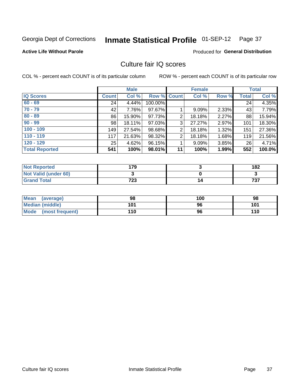# Inmate Statistical Profile 01-SEP-12 Page 37

## **Active Life Without Parole**

## **Produced for General Distribution**

## Culture fair IQ scores

COL % - percent each COUNT is of its particular column

|                       |              | <b>Male</b> |                    |                | <b>Female</b> |       |              | <b>Total</b> |
|-----------------------|--------------|-------------|--------------------|----------------|---------------|-------|--------------|--------------|
| <b>IQ Scores</b>      | <b>Count</b> | Col %       | <b>Row % Count</b> |                | Col %         | Row % | <b>Total</b> | Col %        |
| $60 - 69$             | 24           | 4.44%       | 100.00%            |                |               |       | 24           | 4.35%        |
| $70 - 79$             | 42           | 7.76%       | 97.67%             |                | 9.09%         | 2.33% | 43           | 7.79%        |
| $80 - 89$             | 86           | 15.90%      | 97.73%             | 2              | 18.18%        | 2.27% | 88           | 15.94%       |
| $90 - 99$             | 98           | 18.11%      | 97.03%             | 3              | 27.27%        | 2.97% | 101          | 18.30%       |
| $100 - 109$           | 149          | 27.54%      | 98.68%             | $\overline{2}$ | 18.18%        | 1.32% | 151          | 27.36%       |
| $110 - 119$           | 117          | 21.63%      | 98.32%             | $\overline{2}$ | 18.18%        | 1.68% | 119          | 21.56%       |
| $120 - 129$           | 25           | 4.62%       | 96.15%             |                | 9.09%         | 3.85% | 26           | 4.71%        |
| <b>Total Reported</b> | 541          | 100%        | 98.01%             | 11             | 100%          | 1.99% | 552          | 100.0%       |

| <b>Not Reported</b>         | 79  | 182 |
|-----------------------------|-----|-----|
| <b>Not Valid (under 60)</b> |     |     |
| <b>Grand Total</b>          | 723 | 737 |

| <b>Mean</b><br>(average)       | 98  | 100 | 98  |
|--------------------------------|-----|-----|-----|
| Median (middle)                | 101 | 96  | 101 |
| <b>Mode</b><br>(most frequent) | 110 | 96  | 110 |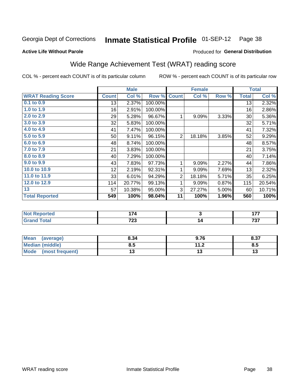# Inmate Statistical Profile 01-SEP-12 Page 38

### **Active Life Without Parole**

## **Produced for General Distribution**

# Wide Range Achievement Test (WRAT) reading score

COL % - percent each COUNT is of its particular column

|                           |              | <b>Male</b> |         |                | <b>Female</b>           |       |              | <b>Total</b> |
|---------------------------|--------------|-------------|---------|----------------|-------------------------|-------|--------------|--------------|
| <b>WRAT Reading Score</b> | <b>Count</b> | Col %       | Row %   | <b>Count</b>   | Col %                   | Row % | <b>Total</b> | Col %        |
| 0.1 to 0.9                | 13           | 2.37%       | 100.00% |                |                         |       | 13           | 2.32%        |
| 1.0 to 1.9                | 16           | 2.91%       | 100.00% |                |                         |       | 16           | 2.86%        |
| 2.0 to 2.9                | 29           | 5.28%       | 96.67%  | 1              | 9.09%                   | 3.33% | 30           | 5.36%        |
| 3.0 to 3.9                | 32           | 5.83%       | 100.00% |                |                         |       | 32           | 5.71%        |
| 4.0 to 4.9                | 41           | 7.47%       | 100.00% |                |                         |       | 41           | 7.32%        |
| 5.0 to 5.9                | 50           | 9.11%       | 96.15%  | $\overline{2}$ | 18.18%                  | 3.85% | 52           | 9.29%        |
| 6.0 to 6.9                | 48           | 8.74%       | 100.00% |                |                         |       | 48           | 8.57%        |
| 7.0 to 7.9                | 21           | 3.83%       | 100.00% |                |                         |       | 21           | 3.75%        |
| 8.0 to 8.9                | 40           | 7.29%       | 100.00% |                |                         |       | 40           | 7.14%        |
| 9.0 to 9.9                | 43           | 7.83%       | 97.73%  | 1              | 9.09%                   | 2.27% | 44           | 7.86%        |
| 10.0 to 10.9              | 12           | 2.19%       | 92.31%  | 1              | 9.09%                   | 7.69% | 13           | 2.32%        |
| 11.0 to $11.9$            | 33           | 6.01%       | 94.29%  | $\overline{2}$ | 18.18%                  | 5.71% | 35           | 6.25%        |
| 12.0 to 12.9              | 114          | 20.77%      | 99.13%  | 1              | 9.09%                   | 0.87% | 115          | 20.54%       |
| 13                        | 57           | 10.38%      | 95.00%  | 3              | 27.27%                  | 5.00% | 60           | 10.71%       |
| <b>Total Reported</b>     | 549          | 100%        | 98.04%  | 11             | 100%                    | 1.96% | 560          | 100%         |
|                           |              |             |         |                |                         |       |              |              |
| <b>Not Reported</b>       |              | 174         |         |                | $\overline{\mathbf{3}}$ |       |              | 177          |

| .              | .                       | .               |
|----------------|-------------------------|-----------------|
| <b>URTHALL</b> | 700<br>$\sim$ 20 $\sim$ | $- - -$<br>. טי |
|                |                         |                 |
|                |                         |                 |

| <b>Mean</b><br>(average) | 8.34 | 9.76          | 8.37 |
|--------------------------|------|---------------|------|
| <b>Median (middle)</b>   | ช.ว  | 11 O<br>. . Z | გ.უ  |
| Mode<br>(most frequent)  |      |               | טו   |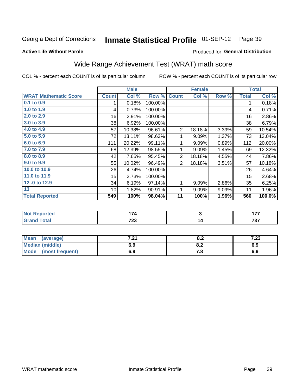#### **Inmate Statistical Profile 01-SEP-12** Page 39

### **Active Life Without Parole**

## **Produced for General Distribution**

# Wide Range Achievement Test (WRAT) math score

COL % - percent each COUNT is of its particular column

|                              |              | <b>Male</b> |         |                | <b>Female</b>           |       |              | <b>Total</b> |
|------------------------------|--------------|-------------|---------|----------------|-------------------------|-------|--------------|--------------|
| <b>WRAT Mathematic Score</b> | <b>Count</b> | Col %       | Row %   | <b>Count</b>   | Col%                    | Row % | <b>Total</b> | Col %        |
| 0.1 to 0.9                   | 1            | 0.18%       | 100.00% |                |                         |       | 1            | 0.18%        |
| 1.0 to 1.9                   | 4            | 0.73%       | 100.00% |                |                         |       | 4            | 0.71%        |
| 2.0 to 2.9                   | 16           | 2.91%       | 100.00% |                |                         |       | 16           | 2.86%        |
| 3.0 to 3.9                   | 38           | 6.92%       | 100.00% |                |                         |       | 38           | 6.79%        |
| 4.0 to 4.9                   | 57           | 10.38%      | 96.61%  | $\mathbf 2$    | 18.18%                  | 3.39% | 59           | 10.54%       |
| 5.0 to 5.9                   | 72           | 13.11%      | 98.63%  | 1              | 9.09%                   | 1.37% | 73           | 13.04%       |
| 6.0 to 6.9                   | 111          | 20.22%      | 99.11%  | 1              | 9.09%                   | 0.89% | 112          | 20.00%       |
| 7.0 to 7.9                   | 68           | 12.39%      | 98.55%  | 1              | 9.09%                   | 1.45% | 69           | 12.32%       |
| 8.0 to 8.9                   | 42           | 7.65%       | 95.45%  | $\mathbf 2$    | 18.18%                  | 4.55% | 44           | 7.86%        |
| 9.0 to 9.9                   | 55           | 10.02%      | 96.49%  | $\overline{2}$ | 18.18%                  | 3.51% | 57           | 10.18%       |
| 10.0 to 10.9                 | 26           | 4.74%       | 100.00% |                |                         |       | 26           | 4.64%        |
| 11.0 to 11.9                 | 15           | 2.73%       | 100.00% |                |                         |       | 15           | 2.68%        |
| 12.0 to 12.9                 | 34           | 6.19%       | 97.14%  | 1              | 9.09%                   | 2.86% | 35           | 6.25%        |
| 13                           | 10           | 1.82%       | 90.91%  | 1              | 9.09%                   | 9.09% | 11           | 1.96%        |
| <b>Total Reported</b>        | 549          | 100%        | 98.04%  | 11             | 100%                    | 1.96% | 560          | 100.0%       |
|                              |              |             |         |                |                         |       |              |              |
| <b>Not Reported</b>          |              | 174         |         |                | $\overline{\mathbf{3}}$ |       |              | 177          |
| <b>Grand Total</b>           |              | 723         |         |                | 14                      |       |              | 737          |
|                              |              |             |         |                |                         |       |              |              |
| <b>Mean</b><br>(average)     |              | 7.21        |         |                | 8.2                     |       |              | 7.23         |

| <b>Mean</b><br>(average)       | , na<br>$\mathbf{z}$ | 0.Z        | - 70<br>د |
|--------------------------------|----------------------|------------|-----------|
| <b>Median (middle)</b>         | 6.9                  | U.Z        | 6.9       |
| <b>Mode</b><br>(most frequent) | 6.9                  | $\sqrt{2}$ | 6.9       |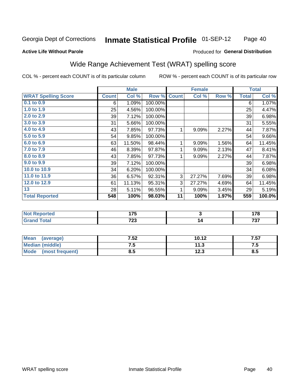#### Inmate Statistical Profile 01-SEP-12 Page 40

### **Active Life Without Parole**

### Produced for General Distribution

## Wide Range Achievement Test (WRAT) spelling score

COL % - percent each COUNT is of its particular column

|                            |              | <b>Male</b> |                |              | <b>Female</b> |       |              | <b>Total</b> |
|----------------------------|--------------|-------------|----------------|--------------|---------------|-------|--------------|--------------|
| <b>WRAT Spelling Score</b> | <b>Count</b> | Col %       | Row %          | <b>Count</b> | Col %         | Row % | <b>Total</b> | Col %        |
| 0.1 to 0.9                 | 6            | 1.09%       | 100.00%        |              |               |       | 6            | 1.07%        |
| 1.0 to 1.9                 | 25           | 4.56%       | 100.00%        |              |               |       | 25           | 4.47%        |
| 2.0 to 2.9                 | 39           | 7.12%       | 100.00%        |              |               |       | 39           | 6.98%        |
| 3.0 to 3.9                 | 31           | 5.66%       | 100.00%        |              |               |       | 31           | 5.55%        |
| 4.0 to 4.9                 | 43           | 7.85%       | 97.73%         | 1            | 9.09%         | 2.27% | 44           | 7.87%        |
| 5.0 to 5.9                 | 54           | 9.85%       | 100.00%        |              |               |       | 54           | 9.66%        |
| 6.0 to 6.9                 | 63           | 11.50%      | 98.44%         | 1            | 9.09%         | 1.56% | 64           | 11.45%       |
| 7.0 to 7.9                 | 46           | 8.39%       | 97.87%         | 1            | 9.09%         | 2.13% | 47           | 8.41%        |
| 8.0 to 8.9                 | 43           | 7.85%       | 97.73%         | 1            | 9.09%         | 2.27% | 44           | 7.87%        |
| 9.0 to 9.9                 | 39           | 7.12%       | 100.00%        |              |               |       | 39           | 6.98%        |
| 10.0 to 10.9               | 34           | 6.20%       | 100.00%        |              |               |       | 34           | 6.08%        |
| 11.0 to 11.9               | 36           | 6.57%       | 92.31%         | 3            | 27.27%        | 7.69% | 39           | 6.98%        |
| 12.0 to 12.9               | 61           | 11.13%      | 95.31%         | 3            | 27.27%        | 4.69% | 64           | 11.45%       |
| 13                         | 28           | 5.11%       | 96.55%         | 1            | 9.09%         | 3.45% | 29           | 5.19%        |
| <b>Total Reported</b>      | 548          | 100%        | 98.03%         | 11           | 100%          | 1.97% | 559          | 100.0%       |
|                            |              |             |                |              |               |       |              |              |
| <b>Not Reported</b>        | 175          |             | $\overline{3}$ |              |               |       | 178          |              |
| <b>Grand Total</b>         |              | 723         |                |              | 14            |       |              | 737          |

| <b>Mean</b><br>(average) | 7.52 | 10.12 | 7.57 |
|--------------------------|------|-------|------|
| Median (middle)          | .    | 11.3  | .    |
| Mode<br>(most frequent)  | ช.ว  | 12.3  | 8.5  |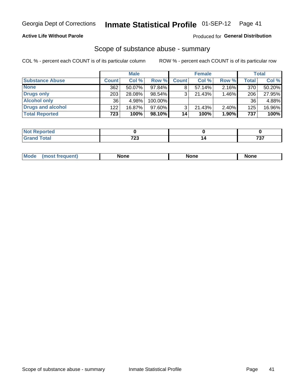## **Active Life Without Parole**

## Produced for General Distribution

## Scope of substance abuse - summary

COL % - percent each COUNT is of its particular column

|                        |              | <b>Male</b> |         |              | <b>Female</b> |          |              | <b>Total</b> |
|------------------------|--------------|-------------|---------|--------------|---------------|----------|--------------|--------------|
| <b>Substance Abuse</b> | <b>Count</b> | Col %       | Row %   | <b>Count</b> | Col %         | Row %    | <b>Total</b> | Col %        |
| <b>None</b>            | 362          | 50.07%      | 97.84%  |              | $57.14\%$     | $2.16\%$ | 370          | 50.20%       |
| <b>Drugs only</b>      | 203          | 28.08%      | 98.54%  |              | 21.43%        | 1.46%    | 206          | 27.95%       |
| <b>Alcohol only</b>    | 36           | 4.98%       | 100.00% |              |               |          | 36           | 4.88%        |
| Drugs and alcohol      | 122          | 16.87%      | 97.60%  |              | $21.43\%$     | $2.40\%$ | 125          | 16.96%       |
| <b>Total Reported</b>  | 723          | 100%        | 98.10%  | 14           | 100%          | 1.90%    | 737          | 100%         |

| <b>Not</b><br>Reported |       |     |
|------------------------|-------|-----|
| <b>Total</b>           | 700   | -~  |
| <b>Grand</b>           | $-20$ | ، ب |

|  | Mode | None | <b>None</b> | None |
|--|------|------|-------------|------|
|--|------|------|-------------|------|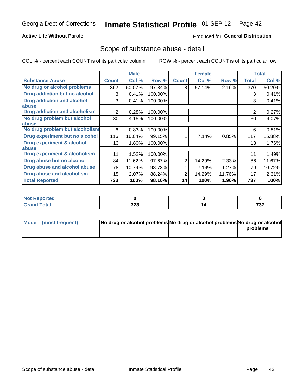## **Active Life Without Parole**

## **Produced for General Distribution**

## Scope of substance abuse - detail

COL % - percent each COUNT is of its particular column

|                                      |                | <b>Male</b> |         |              | <b>Female</b> |        |                | <b>Total</b> |
|--------------------------------------|----------------|-------------|---------|--------------|---------------|--------|----------------|--------------|
| <b>Substance Abuse</b>               | <b>Count</b>   | Col %       | Row %   | <b>Count</b> | Col %         | Row %  | <b>Total</b>   | Col %        |
| No drug or alcohol problems          | 362            | 50.07%      | 97.84%  | 8            | 57.14%        | 2.16%  | 370            | 50.20%       |
| Drug addiction but no alcohol        | 3              | 0.41%       | 100.00% |              |               |        | 3              | 0.41%        |
| <b>Drug addiction and alcohol</b>    | 3              | 0.41%       | 100.00% |              |               |        | 3              | 0.41%        |
| abuse                                |                |             |         |              |               |        |                |              |
| <b>Drug addiction and alcoholism</b> | $\overline{2}$ | 0.28%       | 100.00% |              |               |        | $\overline{2}$ | 0.27%        |
| No drug problem but alcohol          | 30             | 4.15%       | 100.00% |              |               |        | 30             | 4.07%        |
| abuse                                |                |             |         |              |               |        |                |              |
| No drug problem but alcoholism       | 6              | 0.83%       | 100.00% |              |               |        | 6              | 0.81%        |
| Drug experiment but no alcohol       | 116            | 16.04%      | 99.15%  |              | 7.14%         | 0.85%  | 117            | 15.88%       |
| <b>Drug experiment &amp; alcohol</b> | 13             | 1.80%       | 100.00% |              |               |        | 13             | 1.76%        |
| abuse                                |                |             |         |              |               |        |                |              |
| Drug experiment & alcoholism         | 11             | 1.52%       | 100.00% |              |               |        | 11             | 1.49%        |
| Drug abuse but no alcohol            | 84             | 11.62%      | 97.67%  | 2            | 14.29%        | 2.33%  | 86             | 11.67%       |
| Drug abuse and alcohol abuse         | 78             | 10.79%      | 98.73%  |              | 7.14%         | 1.27%  | 79             | 10.72%       |
| <b>Drug abuse and alcoholism</b>     | 15             | 2.07%       | 88.24%  | 2            | 14.29%        | 11.76% | 17             | 2.31%        |
| <b>Total Reported</b>                | 723            | 100%        | 98.10%  | 14           | 100%          | 1.90%  | 737            | 100%         |

| ported      |                       |                                    |
|-------------|-----------------------|------------------------------------|
| <b>otal</b> | 700<br>. ZJ<br>$\sim$ | $\rightarrow$ $\rightarrow$<br>، ب |

| Mode (most frequent) | No drug or alcohol problems No drug or alcohol problems No drug or alcohol |          |
|----------------------|----------------------------------------------------------------------------|----------|
|                      |                                                                            | problems |
|                      |                                                                            |          |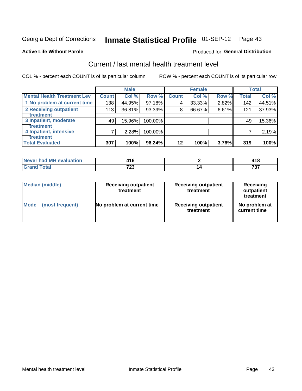# Inmate Statistical Profile 01-SEP-12 Page 43

### **Active Life Without Parole**

## **Produced for General Distribution**

# Current / last mental health treatment level

COL % - percent each COUNT is of its particular column

|                                    |              | <b>Male</b> |            |              | <b>Female</b> |       |       | <b>Total</b> |
|------------------------------------|--------------|-------------|------------|--------------|---------------|-------|-------|--------------|
| <b>Mental Health Treatment Lev</b> | <b>Count</b> | Col%        | Row %      | <b>Count</b> | Col %         | Row % | Total | Col %        |
| 1 No problem at current time       | 138          | 44.95%      | 97.18%     | 4            | 33.33%        | 2.82% | 142   | 44.51%       |
| 2 Receiving outpatient             | 113          | 36.81%      | 93.39%     | 8            | 66.67%        | 6.61% | 121   | 37.93%       |
| Treatment                          |              |             |            |              |               |       |       |              |
| 3 Inpatient, moderate              | 49           | 15.96%      | $100.00\%$ |              |               |       | 49    | 15.36%       |
| Treatment                          |              |             |            |              |               |       |       |              |
| 4 Inpatient, intensive             | 7            | 2.28%       | 100.00%    |              |               |       |       | 2.19%        |
| Treatment                          |              |             |            |              |               |       |       |              |
| <b>Total Evaluated</b>             | 307          | 100%        | 96.24%     | $12 \,$      | 100%          | 3.76% | 319   | 100%         |

| Never had MH evaluation | 1 U      |             |
|-------------------------|----------|-------------|
|                         | 700<br>w | - -<br>, ., |

| <b>Median (middle)</b> | <b>Receiving outpatient</b><br>treatment | <b>Receiving outpatient</b><br>treatment | <b>Receiving</b><br>outpatient<br>treatment |
|------------------------|------------------------------------------|------------------------------------------|---------------------------------------------|
| <b>Mode</b>            | No problem at current time               | <b>Receiving outpatient</b>              | No problem at                               |
| (most frequent)        |                                          | treatment                                | current time                                |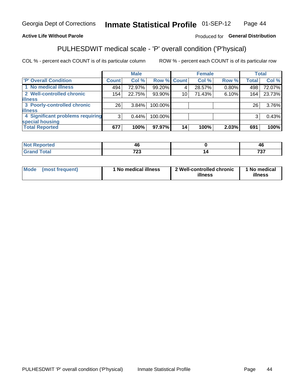#### Inmate Statistical Profile 01-SEP-12 Page 44

## **Active Life Without Parole**

## Produced for General Distribution

# PULHESDWIT medical scale - 'P' overall condition ('P'hysical)

COL % - percent each COUNT is of its particular column

|                                  |                 | <b>Male</b> |             |    | <b>Female</b> |       |                 | <b>Total</b> |
|----------------------------------|-----------------|-------------|-------------|----|---------------|-------|-----------------|--------------|
| 'P' Overall Condition            | Count l         | Col %       | Row % Count |    | Col %         | Row % | <b>Total</b>    | Col %        |
| 1 No medical illness             | 494             | 72.97%      | 99.20%      |    | 28.57%        | 0.80% | 498             | 72.07%       |
| 2 Well-controlled chronic        | 154             | 22.75%      | 93.90%      | 10 | 71.43%        | 6.10% | 164             | 23.73%       |
| <b>illness</b>                   |                 |             |             |    |               |       |                 |              |
| 3 Poorly-controlled chronic      | 26 <sub>1</sub> | $3.84\%$    | 100.00%     |    |               |       | 26 <sub>1</sub> | 3.76%        |
| <b>illness</b>                   |                 |             |             |    |               |       |                 |              |
| 4 Significant problems requiring | 3               | 0.44%       | 100.00%     |    |               |       | 3               | 0.43%        |
| special housing                  |                 |             |             |    |               |       |                 |              |
| <b>Total Reported</b>            | 677             | 100%        | 97.97%      | 14 | 100%          | 2.03% | 691             | 100%         |

|       | $\mathbf{r}$     | - 71 6<br>- 7 |
|-------|------------------|---------------|
| _____ | $\sim$<br>$\sim$ | $- - -$       |

| <b>Mode</b> | (most frequent) | 1 No medical illness | 2 Well-controlled chronic<br>illness | 1 No medical<br>illness |
|-------------|-----------------|----------------------|--------------------------------------|-------------------------|
|-------------|-----------------|----------------------|--------------------------------------|-------------------------|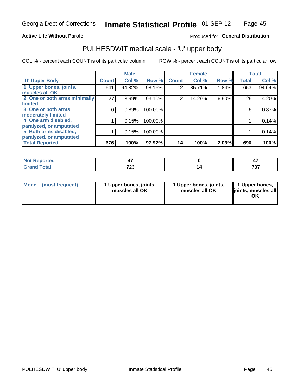## **Active Life Without Parole**

## Produced for General Distribution

# PULHESDWIT medical scale - 'U' upper body

COL % - percent each COUNT is of its particular column

|                              |              | <b>Male</b> |         |                 | <b>Female</b> |       |              | <b>Total</b> |
|------------------------------|--------------|-------------|---------|-----------------|---------------|-------|--------------|--------------|
| <b>'U' Upper Body</b>        | <b>Count</b> | Col %       | Row %   | <b>Count</b>    | Col %         | Row % | <b>Total</b> | Col %        |
| 1 Upper bones, joints,       | 641          | 94.82%      | 98.16%  | 12 <sub>1</sub> | 85.71%        | 1.84% | 653          | 94.64%       |
| muscles all OK               |              |             |         |                 |               |       |              |              |
| 2 One or both arms minimally | 27           | 3.99%       | 93.10%  | 2               | 14.29%        | 6.90% | 29           | 4.20%        |
| limited                      |              |             |         |                 |               |       |              |              |
| 3 One or both arms           | 6            | 0.89%       | 100.00% |                 |               |       | 6            | 0.87%        |
| <b>moderately limited</b>    |              |             |         |                 |               |       |              |              |
| 4 One arm disabled,          |              | 0.15%       | 100.00% |                 |               |       |              | 0.14%        |
| paralyzed, or amputated      |              |             |         |                 |               |       |              |              |
| 5 Both arms disabled,        |              | 0.15%       | 100.00% |                 |               |       |              | 0.14%        |
| paralyzed, or amputated      |              |             |         |                 |               |       |              |              |
| <b>Total Reported</b>        | 676          | 100%        | 97.97%  | 14              | 100%          | 2.03% | 690          | 100%         |

| <b>Not Reported</b> |             | - 1       |
|---------------------|-------------|-----------|
| <b>Grand Total</b>  | 700<br>1 LJ | -~<br>, J |

| Mode<br>(most frequent) | 1 Upper bones, joints,<br>muscles all OK | 1 Upper bones, joints,<br>muscles all OK | 1 Upper bones,<br>joints, muscles all<br>ΟK |
|-------------------------|------------------------------------------|------------------------------------------|---------------------------------------------|
|-------------------------|------------------------------------------|------------------------------------------|---------------------------------------------|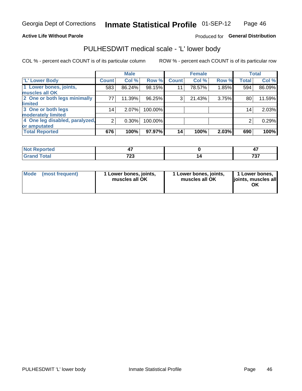## **Active Life Without Parole**

## Produced for General Distribution

## PULHESDWIT medical scale - 'L' lower body

COL % - percent each COUNT is of its particular column

|                                |                | <b>Male</b> |         |              | <b>Female</b> |       |              | <b>Total</b> |
|--------------------------------|----------------|-------------|---------|--------------|---------------|-------|--------------|--------------|
| 'L' Lower Body                 | <b>Count</b>   | Col %       | Row %   | <b>Count</b> | Col %         | Row % | <b>Total</b> | Col %        |
| 1 Lower bones, joints,         | 583            | 86.24%      | 98.15%  | 11           | 78.57%        | 1.85% | 594          | 86.09%       |
| muscles all OK                 |                |             |         |              |               |       |              |              |
| 2 One or both legs minimally   | 77             | 11.39%      | 96.25%  | 3            | 21.43%        | 3.75% | 80           | 11.59%       |
| limited                        |                |             |         |              |               |       |              |              |
| 3 One or both legs             | 14             | 2.07%       | 100.00% |              |               |       | 14           | 2.03%        |
| moderately limited             |                |             |         |              |               |       |              |              |
| 4 One leg disabled, paralyzed, | $\overline{2}$ | 0.30%       | 100.00% |              |               |       | 2            | 0.29%        |
| or amputated                   |                |             |         |              |               |       |              |              |
| <b>Total Reported</b>          | 676            | 100%        | 97.97%  | 14           | 100%          | 2.03% | 690          | 100%         |

| <b>Not Reported</b> |      |     |
|---------------------|------|-----|
| <b>Grand Total</b>  | 700  | ラヘラ |
| Grar                | 20 L | ּט  |

| Mode | (most frequent) | 1 Lower bones, joints,<br>muscles all OK | 1 Lower bones, joints,<br>muscles all OK | 1 Lower bones,<br>ljoints, muscles all<br>OK |
|------|-----------------|------------------------------------------|------------------------------------------|----------------------------------------------|
|------|-----------------|------------------------------------------|------------------------------------------|----------------------------------------------|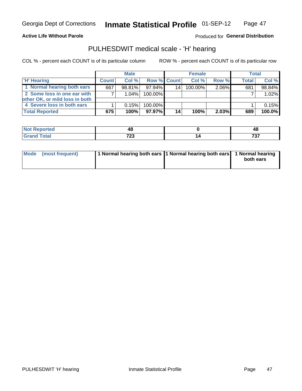### **Active Life Without Parole**

Produced for General Distribution

## PULHESDWIT medical scale - 'H' hearing

COL % - percent each COUNT is of its particular column

|                                | <b>Male</b>  |           |                    | <b>Female</b> |         |          | <b>Total</b> |        |
|--------------------------------|--------------|-----------|--------------------|---------------|---------|----------|--------------|--------|
| <b>H' Hearing</b>              | <b>Count</b> | Col %     | <b>Row % Count</b> |               | Col %   | Row %    | Total        | Col %  |
| 1 Normal hearing both ears     | 667          | $98.81\%$ | 97.94%             | 14            | 100.00% | 2.06%    | 681          | 98.84% |
| 2 Some loss in one ear with    |              | 1.04%     | 100.00%            |               |         |          |              | 1.02%  |
| other OK, or mild loss in both |              |           |                    |               |         |          |              |        |
| 4 Severe loss in both ears     |              | 0.15%     | 100.00%            |               |         |          |              | 0.15%  |
| <b>Total Reported</b>          | 675          | 100%      | $97.97\%$          | 14            | 100%    | $2.03\%$ | 689          | 100.0% |

| тес.        | . .        | ∼          |
|-------------|------------|------------|
| $- \cdot -$ | 700<br>ں 2 | ラヘラ<br>791 |

| Mode (most frequent) | 1 Normal hearing both ears 1 Normal hearing both ears 1 Normal hearing |           |
|----------------------|------------------------------------------------------------------------|-----------|
|                      |                                                                        | both ears |
|                      |                                                                        |           |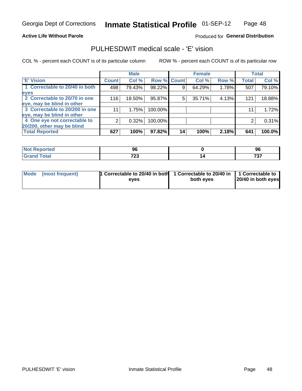## **Active Life Without Parole**

## Produced for General Distribution

## PULHESDWIT medical scale - 'E' vision

COL % - percent each COUNT is of its particular column

|                                |              | <b>Male</b> |             |    | <b>Female</b> |       |              | <b>Total</b> |
|--------------------------------|--------------|-------------|-------------|----|---------------|-------|--------------|--------------|
| <b>E' Vision</b>               | <b>Count</b> | Col %       | Row % Count |    | Col %         | Row % | <b>Total</b> | Col %        |
| 1 Correctable to 20/40 in both | 498          | 79.43%      | 98.22%      |    | 64.29%        | 1.78% | 507          | 79.10%       |
| eyes                           |              |             |             |    |               |       |              |              |
| 2 Correctable to 20/70 in one  | 116          | 18.50%      | 95.87%      | 5  | 35.71%        | 4.13% | 121          | 18.88%       |
| eye, may be blind in other     |              |             |             |    |               |       |              |              |
| 3 Correctable to 20/200 in one | 11           | 1.75%       | 100.00%     |    |               |       | 11           | 1.72%        |
| eye, may be blind in other     |              |             |             |    |               |       |              |              |
| 4 One eye not correctable to   | 2            | 0.32%       | 100.00%     |    |               |       | 2            | 0.31%        |
| 20/200, other may be blind     |              |             |             |    |               |       |              |              |
| <b>Total Reported</b>          | 627          | 100%        | 97.82%      | 14 | 100%          | 2.18% | 641          | 100.0%       |

| <b>Not Reported</b> | 96                    | 96       |
|---------------------|-----------------------|----------|
| Total               | 700<br>ں کے ا<br>____ | 707<br>. |

| Mode (most frequent) | 1 Correctable to 20/40 in both<br>eves | 1 Correctable to 20/40 in   1 Correctable to<br>both eyes | 20/40 in both eyes |
|----------------------|----------------------------------------|-----------------------------------------------------------|--------------------|
|                      |                                        |                                                           |                    |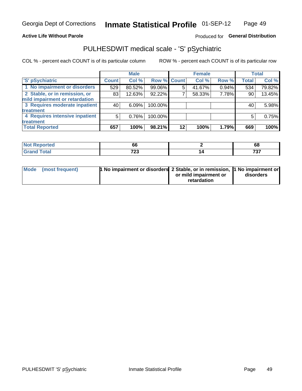## **Active Life Without Parole**

## Produced for General Distribution

# PULHESDWIT medical scale - 'S' pSychiatric

COL % - percent each COUNT is of its particular column

|                                |              | <b>Male</b> |                    |    | <b>Female</b> |       |              | Total  |
|--------------------------------|--------------|-------------|--------------------|----|---------------|-------|--------------|--------|
| 'S' pSychiatric                | <b>Count</b> | Col %       | <b>Row % Count</b> |    | Col %         | Row % | <b>Total</b> | Col %  |
| 1 No impairment or disorders   | 529          | 80.52%      | 99.06%             | 5  | 41.67%        | 0.94% | 534          | 79.82% |
| 2 Stable, or in remission, or  | 83           | 12.63%      | 92.22%             |    | 58.33%        | 7.78% | 90           | 13.45% |
| mild impairment or retardation |              |             |                    |    |               |       |              |        |
| 3 Requires moderate inpatient  | 40           | 6.09%       | 100.00%            |    |               |       | 40           | 5.98%  |
| treatment                      |              |             |                    |    |               |       |              |        |
| 4 Requires intensive inpatient | 5            | 0.76%       | 100.00%            |    |               |       | 5            | 0.75%  |
| treatment                      |              |             |                    |    |               |       |              |        |
| <b>Total Reported</b>          | 657          | 100%        | 98.21%             | 12 | 100%          | 1.79% | 669          | 100%   |

| n de la |              | 68                  |
|---------|--------------|---------------------|
|         | フへへ<br>1 L J | 707<br>ັບ<br>$\sim$ |

| Mode (most frequent) | <sup>1</sup> No impairment or disorders 2 Stable, or in remission, <sup>1</sup> No impairment or |                       |           |
|----------------------|--------------------------------------------------------------------------------------------------|-----------------------|-----------|
|                      |                                                                                                  | or mild impairment or | disorders |
|                      |                                                                                                  | retardation           |           |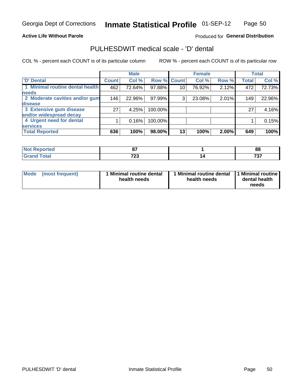## **Active Life Without Parole**

## Produced for General Distribution

## PULHESDWIT medical scale - 'D' dental

COL % - percent each COUNT is of its particular column

|                                 |              | <b>Male</b> |         |                 | <b>Female</b> |       |              | <b>Total</b> |
|---------------------------------|--------------|-------------|---------|-----------------|---------------|-------|--------------|--------------|
| <b>D'</b> Dental                | <b>Count</b> | Col %       |         | Row % Count     | Col %         | Row % | <b>Total</b> | Col %        |
| 1 Minimal routine dental health | 462          | 72.64%      | 97.88%  | 10 <sub>1</sub> | 76.92%        | 2.12% | 472          | 72.73%       |
| <b>needs</b>                    |              |             |         |                 |               |       |              |              |
| 2 Moderate cavities and/or gum  | 146          | 22.96%      | 97.99%  | 3               | 23.08%        | 2.01% | 149          | 22.96%       |
| disease                         |              |             |         |                 |               |       |              |              |
| 3 Extensive gum disease         | 27           | 4.25%       | 100.00% |                 |               |       | 27           | 4.16%        |
| and/or widespread decay         |              |             |         |                 |               |       |              |              |
| 4 Urgent need for dental        |              | 0.16%       | 100.00% |                 |               |       |              | 0.15%        |
| <b>services</b>                 |              |             |         |                 |               |       |              |              |
| <b>Total Reported</b>           | 636          | 100%        | 98.00%  | 13              | 100%          | 2.00% | 649          | 100%         |

| <b>Not Reported</b> | $\sim$              | 88           |
|---------------------|---------------------|--------------|
| <b>Total</b>        | フヘク<br>ט ביו<br>___ | ラヘラ<br>1 J I |

| <b>Mode</b> | (most frequent) | <b>Minimal routine dental</b><br>health needs | 1 Minimal routine dental 1 Minimal routine<br>health needs | dental health<br>needs |
|-------------|-----------------|-----------------------------------------------|------------------------------------------------------------|------------------------|
|-------------|-----------------|-----------------------------------------------|------------------------------------------------------------|------------------------|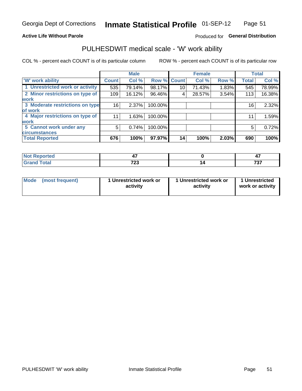## **Active Life Without Parole**

## Produced for General Distribution

## PULHESDWIT medical scale - 'W' work ability

COL % - percent each COUNT is of its particular column

|                                 |              | <b>Male</b> |         |             | <b>Female</b> |       |              | <b>Total</b> |
|---------------------------------|--------------|-------------|---------|-------------|---------------|-------|--------------|--------------|
| <b>W' work ability</b>          | <b>Count</b> | Col %       |         | Row % Count | Col %         | Row % | <b>Total</b> | Col %        |
| 1 Unrestricted work or activity | 535          | 79.14%      | 98.17%  | 10          | 71.43%        | 1.83% | 545          | 78.99%       |
| 2 Minor restrictions on type of | 109          | 16.12%      | 96.46%  | 4           | 28.57%        | 3.54% | 113          | 16.38%       |
| <b>work</b>                     |              |             |         |             |               |       |              |              |
| 3 Moderate restrictions on type | 16           | 2.37%       | 100.00% |             |               |       | 16           | 2.32%        |
| of work                         |              |             |         |             |               |       |              |              |
| 4 Major restrictions on type of | 11           | 1.63%       | 100.00% |             |               |       | 11           | 1.59%        |
| <b>work</b>                     |              |             |         |             |               |       |              |              |
| 5 Cannot work under any         | 5            | 0.74%       | 100.00% |             |               |       | 5            | 0.72%        |
| <b>circumstances</b>            |              |             |         |             |               |       |              |              |
| <b>Total Reported</b>           | 676          | 100%        | 97.97%  | 14          | 100%          | 2.03% | 690          | 100%         |

| <b>Not Reported</b> |             | . .          |
|---------------------|-------------|--------------|
| <b>Grand Total</b>  | 700<br>ט בו | ラヘラ<br>I J I |

| <b>Mode</b> | (most frequent) | 1 Unrestricted work or<br>activity | 1 Unrestricted work or<br>activity | 1 Unrestricted<br>work or activity |
|-------------|-----------------|------------------------------------|------------------------------------|------------------------------------|
|-------------|-----------------|------------------------------------|------------------------------------|------------------------------------|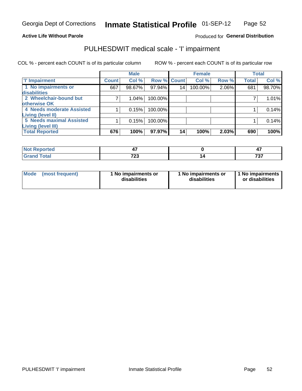### **Active Life Without Parole**

## Produced for General Distribution

# PULHESDWIT medical scale - 'I' impairment

|                           |              | <b>Male</b> |                    |                 | <b>Female</b> |       | <b>Total</b> |        |
|---------------------------|--------------|-------------|--------------------|-----------------|---------------|-------|--------------|--------|
| <b>T' Impairment</b>      | <b>Count</b> | Col %       | <b>Row % Count</b> |                 | Col %         | Row % | <b>Total</b> | Col %  |
| 1 No impairments or       | 667          | 98.67%      | 97.94%             | 14 <sub>1</sub> | 100.00%       | 2.06% | 681          | 98.70% |
| disabilities              |              |             |                    |                 |               |       |              |        |
| 2 Wheelchair-bound but    |              | 1.04%       | 100.00%            |                 |               |       |              | 1.01%  |
| <b>lotherwise OK</b>      |              |             |                    |                 |               |       |              |        |
| 4 Needs moderate Assisted |              | 0.15%       | 100.00%            |                 |               |       |              | 0.14%  |
| Living (level II)         |              |             |                    |                 |               |       |              |        |
| 5 Needs maximal Assisted  |              | 0.15%       | 100.00%            |                 |               |       |              | 0.14%  |
| <b>Living (level III)</b> |              |             |                    |                 |               |       |              |        |
| <b>Total Reported</b>     | 676          | 100%        | 97.97%             | 14 <sub>1</sub> | 100%          | 2.03% | 690          | 100%   |

| 'enorted     | --            | --<br>− . |
|--------------|---------------|-----------|
| <b>Total</b> | っへへ<br>ں ہے ، | 707<br>ັ  |

| Mode | (most frequent) | 1 No impairments or<br>disabilities | 1 No impairments or<br>disabilities | 1 No impairments  <br>or disabilities |
|------|-----------------|-------------------------------------|-------------------------------------|---------------------------------------|
|------|-----------------|-------------------------------------|-------------------------------------|---------------------------------------|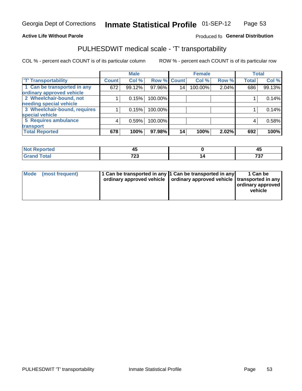### **Active Life Without Parole**

## Produced fo General Distribution

## PULHESDWIT medical scale - 'T' transportability

COL % - percent each COUNT is of its particular column

|                                                          |              | <b>Male</b> |         |             | <b>Female</b> |       |              | <b>Total</b> |
|----------------------------------------------------------|--------------|-------------|---------|-------------|---------------|-------|--------------|--------------|
| <b>T' Transportability</b>                               | <b>Count</b> | Col %       |         | Row % Count | Col %         | Row % | <b>Total</b> | Col %        |
| 1 Can be transported in any<br>ordinary approved vehicle | 672          | 99.12%      | 97.96%  | 14          | 100.00%       | 2.04% | 686          | 99.13%       |
| 2 Wheelchair-bound, not                                  |              | 0.15%       | 100.00% |             |               |       |              | 0.14%        |
| needing special vehicle                                  |              |             |         |             |               |       |              |              |
| 3 Wheelchair-bound, requires                             |              | 0.15%       | 100.00% |             |               |       |              | 0.14%        |
| special vehicle                                          |              |             |         |             |               |       |              |              |
| 5 Requires ambulance                                     | 4            | 0.59%       | 100.00% |             |               |       | 4            | 0.58%        |
| transport                                                |              |             |         |             |               |       |              |              |
| <b>Total Reported</b>                                    | 678          | 100%        | 97.98%  | 14          | 100%          | 2.02% | 692          | 100%         |

| тео | . .<br>∼     | $-$      |
|-----|--------------|----------|
|     | 700<br>1 L J | 707<br>v |

| <b>Mode</b> | (most frequent) | 1 Can be transported in any 1 Can be transported in any | ordinary approved vehicle   ordinary approved vehicle   transported in any | 1 Can be<br>  ordinary approved  <br>vehicle |
|-------------|-----------------|---------------------------------------------------------|----------------------------------------------------------------------------|----------------------------------------------|
|-------------|-----------------|---------------------------------------------------------|----------------------------------------------------------------------------|----------------------------------------------|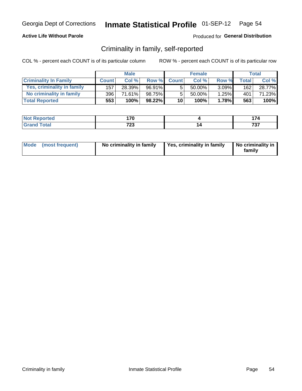## **Active Life Without Parole**

## Produced for General Distribution

## Criminality in family, self-reported

COL % - percent each COUNT is of its particular column

|                              |              | <b>Male</b> |        |              | <b>Female</b> |          |                    | Total  |
|------------------------------|--------------|-------------|--------|--------------|---------------|----------|--------------------|--------|
| <b>Criminality In Family</b> | <b>Count</b> | Col %       | Row %  | <b>Count</b> | Col %         | Row %    | Total <sub>1</sub> | Col %  |
| Yes, criminality in family   | 157          | 28.39%      | 96.91% | 5            | 50.00%        | $3.09\%$ | 162                | 28.77% |
| No criminality in family     | 396          | 71.61%      | 98.75% | 5            | 50.00%        | 1.25%    | 401                | 71.23% |
| <b>Total Reported</b>        | 553          | 100%        | 98.22% | 10           | 100%          | 1.78%    | 563                | 100%   |

| <b>Not Reported</b> | 17N  |     |
|---------------------|------|-----|
| <b>c</b> otal       | 700  | -0- |
| l Gran              | . ZJ | .   |

|  | Mode (most frequent) | No criminality in family | Yes, criminality in family | No criminality in<br>family |
|--|----------------------|--------------------------|----------------------------|-----------------------------|
|--|----------------------|--------------------------|----------------------------|-----------------------------|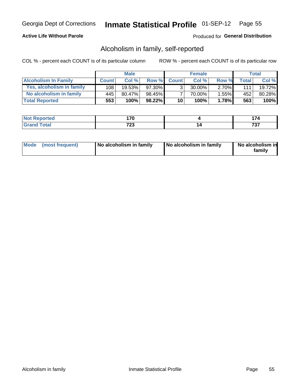## **Active Life Without Parole**

## Produced for General Distribution

## Alcoholism in family, self-reported

COL % - percent each COUNT is of its particular column

|                             |              | <b>Male</b> |           |                 | <b>Female</b> |          |              | Total   |
|-----------------------------|--------------|-------------|-----------|-----------------|---------------|----------|--------------|---------|
| <b>Alcoholism In Family</b> | <b>Count</b> | Col%        | Row %     | <b>Count</b>    | Col%          | Row %    | <b>Total</b> | Col %   |
| Yes, alcoholism in family   | 108          | 19.53%      | 97.30%    | 3 <sub>1</sub>  | 30.00%        | $2.70\%$ | 111          | 19.72%  |
| No alcoholism in family     | 445          | $80.47\%$   | 98.45%    |                 | 70.00%        | $1.55\%$ | 452          | 80.28%  |
| <b>Total Reported</b>       | 553          | 100%        | $98.22\%$ | 10 <sub>1</sub> | 100%          | 1.78%    | 563          | $100\%$ |

| <b>Reported</b><br>NO | 17M<br>- 4         |          |
|-----------------------|--------------------|----------|
| <b>otal</b>           | 700<br>. د ،<br>__ | ,,,<br>. |

|  | Mode (most frequent) | No alcoholism in family | No alcoholism in family | No alcoholism in<br>family |
|--|----------------------|-------------------------|-------------------------|----------------------------|
|--|----------------------|-------------------------|-------------------------|----------------------------|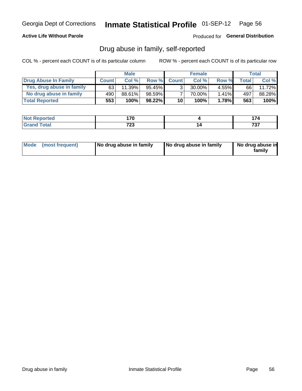## **Active Life Without Parole**

Produced for General Distribution

## Drug abuse in family, self-reported

COL % - percent each COUNT is of its particular column

|                           |              | <b>Male</b> |           |                 | <b>Female</b> |          |       | Total  |
|---------------------------|--------------|-------------|-----------|-----------------|---------------|----------|-------|--------|
| Drug Abuse In Family      | <b>Count</b> | Col %       | Row %     | <b>Count</b>    | Col%          | Row %    | Total | Col %  |
| Yes, drug abuse in family | 63           | 11.39%      | 95.45%    | 3 <sub>1</sub>  | $30.00\%$     | $4.55\%$ | 66    | 11.72% |
| No drug abuse in family   | 490          | 88.61%      | 98.59%    | $\overline{ }$  | 70.00%        | 1.41%    | 497   | 88.28% |
| <b>Total Reported</b>     | 553!         | 100%        | $98.22\%$ | 10 <sub>1</sub> | 100%          | 1.78%    | 563   | 100%   |

| <b>Reported</b><br>NO | 17M<br>- 4         |          |
|-----------------------|--------------------|----------|
| <b>otal</b>           | 700<br>. د ،<br>__ | ,,,<br>. |

|  | Mode (most frequent) | No drug abuse in family | No drug abuse in family | No drug abuse in<br>family |
|--|----------------------|-------------------------|-------------------------|----------------------------|
|--|----------------------|-------------------------|-------------------------|----------------------------|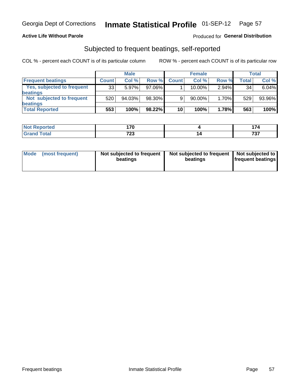## **Active Life Without Parole**

## Produced for General Distribution

## Subjected to frequent beatings, self-reported

COL % - percent each COUNT is of its particular column

|                                   |              | <b>Male</b> |           |              | <b>Female</b> |       |       | Total  |
|-----------------------------------|--------------|-------------|-----------|--------------|---------------|-------|-------|--------|
| <b>Frequent beatings</b>          | <b>Count</b> | Col %       | Row %     | <b>Count</b> | Col %         | Row % | Total | Col %  |
| <b>Yes, subjected to frequent</b> | 33           | 5.97%       | 97.06%    |              | 10.00%        | 2.94% | 34    | 6.04%  |
| <b>beatings</b>                   |              |             |           |              |               |       |       |        |
| Not subjected to frequent         | 520          | 94.03%      | 98.30%    | 9            | 90.00%        | 1.70% | 529   | 93.96% |
| <b>beatings</b>                   |              |             |           |              |               |       |       |        |
| <b>Total Reported</b>             | 553          | 100%        | $98.22\%$ | 10           | 100%          | 1.78% | 563   | 100%   |

| <b>Not Reported</b> | 17M<br>7 U   |    | $\rightarrow$<br>l 74 |
|---------------------|--------------|----|-----------------------|
| <b>Total</b>        | フヘヘ<br>د ے ا | 14 | 707<br>, , ,          |

| Mode (most frequent) | Not subjected to frequent<br>beatings | Not subjected to frequent<br>beatings | Not subjected to<br><b>frequent beatings</b> |
|----------------------|---------------------------------------|---------------------------------------|----------------------------------------------|
|                      |                                       |                                       |                                              |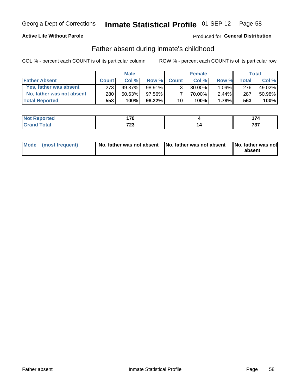## **Active Life Without Parole**

## Produced for General Distribution

## Father absent during inmate's childhood

COL % - percent each COUNT is of its particular column

|                           |              | <b>Male</b> |           |                 | <b>Female</b> |          |         | Total   |
|---------------------------|--------------|-------------|-----------|-----------------|---------------|----------|---------|---------|
| <b>Father Absent</b>      | <b>Count</b> | Col%        | Row %     | <b>Count</b>    | Col %         | Row %    | Total i | Col %   |
| Yes, father was absent    | 273          | 49.37%      | $98.91\%$ | 3 <sub>1</sub>  | $30.00\%$     | $1.09\%$ | 276     | 49.02%  |
| No, father was not absent | 280          | 50.63%      | 97.56%    |                 | 70.00%        | $2.44\%$ | 287     | 50.98%  |
| <b>Total Reported</b>     | 553          | 100%        | 98.22%    | 10 <sup>1</sup> | 100%          | 1.78%    | 563     | $100\%$ |

| <b>Not Reported</b>     | 170<br>. .           | $\sim$ $\sim$        |
|-------------------------|----------------------|----------------------|
| <b>Fotal</b><br>' Grano | 700<br>ں ک<br>$\sim$ | -20-2<br>, , ,<br>__ |

|  | Mode (most frequent) | No, father was not absent No, father was not absent |  | No, father was not<br>absent |
|--|----------------------|-----------------------------------------------------|--|------------------------------|
|--|----------------------|-----------------------------------------------------|--|------------------------------|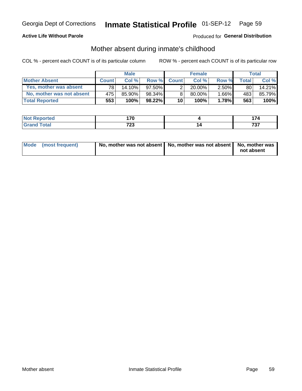## **Active Life Without Parole**

## **Produced for General Distribution**

## Mother absent during inmate's childhood

COL % - percent each COUNT is of its particular column

|                           |              | <b>Male</b> |           |                 | <b>Female</b> |          |              | Total   |
|---------------------------|--------------|-------------|-----------|-----------------|---------------|----------|--------------|---------|
| <b>Mother Absent</b>      | <b>Count</b> | Col%        | Row %     | <b>Count</b>    | Col%          | Row %    | <b>Total</b> | Col %   |
| Yes, mother was absent    | 781          | 14.10%      | $97.50\%$ | 2 <sub>1</sub>  | $20.00\%$     | $2.50\%$ | 80           | 14.21%  |
| No, mother was not absent | 475'         | 85.90%      | 98.34%    | 8               | 80.00%        | 1.66%    | 483          | 85.79%  |
| <b>Total Reported</b>     | 553          | 100%        | $98.22\%$ | 10 <sup>1</sup> | 100%          | 1.78%    | 563          | $100\%$ |

| <b>Not Reported</b> | 17M<br>. . v |          |
|---------------------|--------------|----------|
| <b>Total</b>        | 700<br>. د ت | 707<br>. |

| Mode (most frequent) | No, mother was not absent   No, mother was not absent   No, mother was | not absent |
|----------------------|------------------------------------------------------------------------|------------|
|                      |                                                                        |            |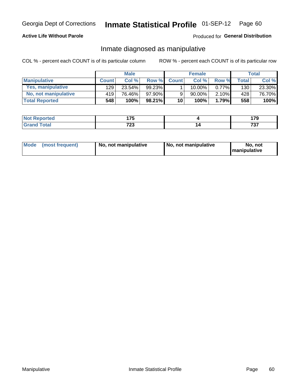## **Active Life Without Parole**

## Produced for General Distribution

## Inmate diagnosed as manipulative

COL % - percent each COUNT is of its particular column

|                          |              | <b>Male</b> |           |              | <b>Female</b> |          |              | Total  |
|--------------------------|--------------|-------------|-----------|--------------|---------------|----------|--------------|--------|
| <b>Manipulative</b>      | <b>Count</b> | Col %       | Row %     | <b>Count</b> | Col%          | Row %    | <b>Total</b> | Col %  |
| <b>Yes, manipulative</b> | 129          | 23.54%      | $99.23\%$ |              | 10.00%        | $0.77\%$ | 130          | 23.30% |
| No, not manipulative     | 419          | 76.46%      | 97.90%    | 9            | 90.00%        | $2.10\%$ | 428          | 76.70% |
| <b>Total Reported</b>    | 548          | $100\%$ .   | $98.21\%$ | 10           | 100%          | 1.79%    | 558          | 100%   |

| المنتشر بالتعبير | ィラビ          | 170         |
|------------------|--------------|-------------|
| <b>eported</b>   |              | $\cdots$    |
| <b>otal</b>      | 700<br>. د ، | 707<br>וט ו |

|  | Mode (most frequent) | No, not manipulative | No, not manipulative | No. not<br><b>I</b> manipulative |
|--|----------------------|----------------------|----------------------|----------------------------------|
|--|----------------------|----------------------|----------------------|----------------------------------|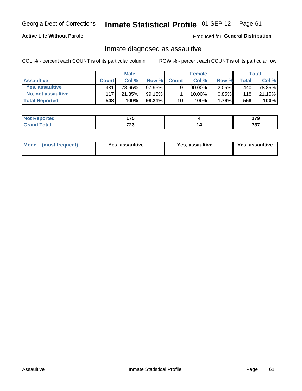# Inmate Statistical Profile 01-SEP-12 Page 61

## **Active Life Without Parole**

Produced for General Distribution

## Inmate diagnosed as assaultive

COL % - percent each COUNT is of its particular column

|                       |              | <b>Male</b> |           |              | <b>Female</b> |          |       | Total  |
|-----------------------|--------------|-------------|-----------|--------------|---------------|----------|-------|--------|
| <b>Assaultive</b>     | <b>Count</b> | Col%        | Row %     | <b>Count</b> | Col %         | Row %    | Total | Col %  |
| Yes, assaultive       | 431          | 78.65%      | $97.95\%$ | 9.           | 90.00%        | $2.05\%$ | 440   | 78.85% |
| No. not assaultive    | 117          | 21.35%      | 99.15%    |              | 10.00%        | $0.85\%$ | 118   | 21.15% |
| <b>Total Reported</b> | 548          | 100%        | 98.21%    | 10           | 100%          | 1.79%    | 558   | 100%   |

| <b>Reported</b> | 175         | $-$         |
|-----------------|-------------|-------------|
| <b>NO</b>       | .           | 70          |
| <b>otal</b>     | 700<br>1 LJ | 707<br>ו שו |

| <b>Mode</b><br>(most frequent) | <b>Yes, assaultive</b> | Yes, assaultive | <b>Yes, assaultive</b> |
|--------------------------------|------------------------|-----------------|------------------------|
|--------------------------------|------------------------|-----------------|------------------------|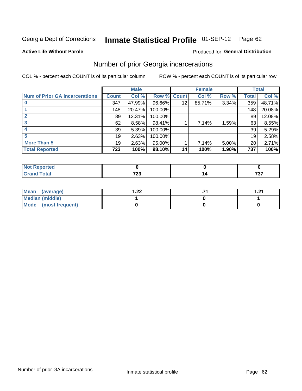#### Inmate Statistical Profile 01-SEP-12 Page 62

### **Active Life Without Parole**

### Produced for General Distribution

## Number of prior Georgia incarcerations

COL % - percent each COUNT is of its particular column

|                                       | <b>Male</b>  |        |                    |    | <b>Female</b> | <b>Total</b> |       |        |
|---------------------------------------|--------------|--------|--------------------|----|---------------|--------------|-------|--------|
| <b>Num of Prior GA Incarcerations</b> | <b>Count</b> | Col %  | <b>Row % Count</b> |    | Col %         | Row %        | Total | Col %  |
|                                       | 347          | 47.99% | 96.66%             | 12 | 85.71%        | 3.34%        | 359   | 48.71% |
|                                       | 148          | 20.47% | 100.00%            |    |               |              | 148   | 20.08% |
|                                       | 89           | 12.31% | 100.00%            |    |               |              | 89    | 12.08% |
|                                       | 62           | 8.58%  | 98.41%             |    | 7.14%         | 1.59%        | 63    | 8.55%  |
|                                       | 39           | 5.39%  | 100.00%            |    |               |              | 39    | 5.29%  |
|                                       | 19           | 2.63%  | 100.00%            |    |               |              | 19    | 2.58%  |
| <b>More Than 5</b>                    | 19           | 2.63%  | 95.00%             |    | 7.14%         | 5.00%        | 20    | 2.71%  |
| <b>Total Reported</b>                 | 723          | 100%   | 98.10%             | 14 | 100%          | 1.90%        | 737   | 100%   |

| orted            |     |     |
|------------------|-----|-----|
| <b>otal</b>      | 700 | ラヘラ |
| $\mathbf{v}$ and | LJ  | ו ט |

| Mean (average)       | ററ<br>⋯∠∠ | 1 71 |
|----------------------|-----------|------|
| Median (middle)      |           |      |
| Mode (most frequent) |           |      |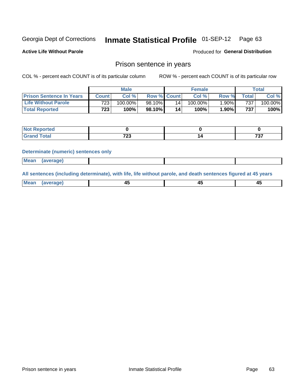#### Inmate Statistical Profile 01-SEP-12 Page 63

**Active Life Without Parole** 

Produced for General Distribution

## Prison sentence in years

COL % - percent each COUNT is of its particular column

ROW % - percent each COUNT is of its particular row

|                                 | <b>Male</b>  |            |             | <b>Female</b> |                    |          | Total            |            |
|---------------------------------|--------------|------------|-------------|---------------|--------------------|----------|------------------|------------|
| <b>Prison Sentence In Years</b> | <b>Count</b> | Col %      | Row % Count |               | Col % <sub>1</sub> | Row %    | $\tau$ otal      | Col %      |
| <b>Life Without Parole</b>      | 723          | $100.00\%$ | 98.10%      | 14            | $100.00\%$         | $1.90\%$ | 737              | $100.00\%$ |
| <b>Total Reported</b>           | 723          | 100%       | 98.10%      | 14            | 100%               | 1.90%    | 737 <sub>1</sub> | 100%       |

| <b>Reported</b> |              |     |
|-----------------|--------------|-----|
| <b>Total</b>    | フヘヘ<br>ں ے ا | 707 |

### **Determinate (numeric) sentences only**

| (average) |             |  |  |
|-----------|-------------|--|--|
|           | <b>Mean</b> |  |  |

All sentences (including determinate), with life, life without parole, and death sentences figured at 45 years

| l Mea<br>апе<br>. | -⊷ |  |
|-------------------|----|--|
|                   |    |  |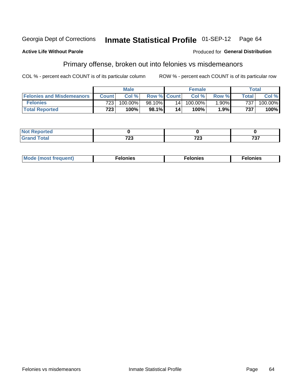#### **Inmate Statistical Profile 01-SEP-12 Georgia Dept of Corrections** Page 64

### **Active Life Without Parole**

## **Produced for General Distribution**

## Primary offense, broken out into felonies vs misdemeanors

COL % - percent each COUNT is of its particular column

|                                  | <b>Male</b>      |            |                    | <b>Female</b>   |            |          | Total        |            |
|----------------------------------|------------------|------------|--------------------|-----------------|------------|----------|--------------|------------|
| <b>Felonies and Misdemeanors</b> | <b>Count</b>     | Col%       | <b>Row % Count</b> |                 | Col%       | Row %    | <b>Total</b> | Col %      |
| <b>Felonies</b>                  | 723              | $100.00\%$ | 98.10%             | 14 <sub>1</sub> | $100.00\%$ | $1.90\%$ | 737          | $100.00\%$ |
| <b>Total Reported</b>            | 723 <sub>1</sub> | $100\%$ .  | 98.1%              | 14              | 100%       | 1.9%     | 737          | $100\%$    |

| <b>Not Reported</b>                      |             |          |            |
|------------------------------------------|-------------|----------|------------|
| <b>Total</b><br>Gran<br>$\mathbf{v}$ and | 700<br>ט בו | 700<br>∼ | 707<br>ו כ |

| $Mc$<br>equent)<br>нез<br>$\sim$<br>. | onies<br>. | <b>onies</b><br>. |
|---------------------------------------|------------|-------------------|
|---------------------------------------|------------|-------------------|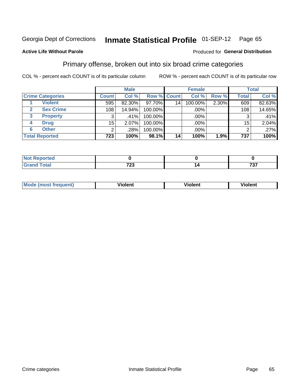#### **Inmate Statistical Profile 01-SEP-12** Page 65

## **Active Life Without Parole**

### Produced for General Distribution

## Primary offense, broken out into six broad crime categories

COL % - percent each COUNT is of its particular column

|                         |                  | <b>Male</b> |                    |    | <b>Female</b> |       |              | <b>Total</b> |
|-------------------------|------------------|-------------|--------------------|----|---------------|-------|--------------|--------------|
| <b>Crime Categories</b> | <b>Count</b>     | Col %       | <b>Row % Count</b> |    | Col %         | Row % | <b>Total</b> | Col %        |
| <b>Violent</b>          | 595              | 82.30%      | 97.70%             | 14 | 100.00%       | 2.30% | 609          | 82.63%       |
| <b>Sex Crime</b>        | 108 <sub>1</sub> | 14.94%      | 100.00%            |    | .00%          |       | 108          | 14.65%       |
| 3<br><b>Property</b>    | 3                | $.41\%$     | 100.00%            |    | .00%          |       | 3            | .41%         |
| <b>Drug</b><br>4        | 15               | 2.07%       | 100.00%            |    | .00%          |       | 15           | 2.04%        |
| <b>Other</b><br>6       | $\overline{2}$   | .28%        | 100.00%            |    | .00%          |       | 2            | $.27\%$      |
| <b>Total Reported</b>   | 723              | 100%        | 98.1%              | 14 | 100%          | 1.9%  | 737          | 100%         |

| <b>Not Reported</b> |             |             |
|---------------------|-------------|-------------|
| <b>Total</b>        | 700<br>ט בו | 707<br>וט ו |

| М | ,,, | - -- -<br>וחו | m |
|---|-----|---------------|---|
|   |     |               |   |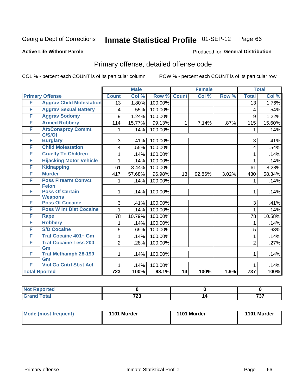#### **Inmate Statistical Profile 01-SEP-12** Page 66

### **Active Life Without Parole**

### Produced for General Distribution

# Primary offense, detailed offense code

COL % - percent each COUNT is of its particular column

|   |                                          |                  | <b>Male</b> |         |              | <b>Female</b> |       | <b>Total</b>     |        |
|---|------------------------------------------|------------------|-------------|---------|--------------|---------------|-------|------------------|--------|
|   | <b>Primary Offense</b>                   | <b>Count</b>     | Col %       | Row %   | <b>Count</b> | Col %         | Row % | <b>Total</b>     | Col %  |
| F | <b>Aggrav Child Molestation</b>          | $\overline{13}$  | 1.80%       | 100.00% |              |               |       | $\overline{13}$  | 1.76%  |
| F | <b>Aggrav Sexual Battery</b>             | 4                | .55%        | 100.00% |              |               |       | 4                | .54%   |
| F | <b>Aggrav Sodomy</b>                     | 9                | 1.24%       | 100.00% |              |               |       | 9                | 1.22%  |
| F | <b>Armed Robbery</b>                     | 114              | 15.77%      | 99.13%  | $\mathbf{1}$ | 7.14%         | .87%  | 115              | 15.60% |
| F | <b>Att/Consprcy Commt</b><br>C/S/Of      | 1.               | .14%        | 100.00% |              |               |       | 1                | .14%   |
| F | <b>Burglary</b>                          | 3                | .41%        | 100.00% |              |               |       | 3                | .41%   |
| F | <b>Child Molestation</b>                 | 4                | .55%        | 100.00% |              |               |       | $\overline{4}$   | .54%   |
| F | <b>Cruelty To Children</b>               | 1                | .14%        | 100.00% |              |               |       | 1                | .14%   |
| F | <b>Hijacking Motor Vehicle</b>           | 1                | .14%        | 100.00% |              |               |       | 1                | .14%   |
| F | <b>Kidnapping</b>                        | 61               | 8.44%       | 100.00% |              |               |       | 61               | 8.28%  |
| F | <b>Murder</b>                            | 417              | 57.68%      | 96.98%  | 13           | 92.86%        | 3.02% | 430              | 58.34% |
| F | <b>Poss Firearm Convct</b>               | 1                | .14%        | 100.00% |              |               |       | 1                | .14%   |
|   | <b>Felon</b>                             |                  |             |         |              |               |       |                  |        |
| F | <b>Poss Of Certain</b><br><b>Weapons</b> | 1                | .14%        | 100.00% |              |               |       | 1                | .14%   |
| F | <b>Poss Of Cocaine</b>                   | 3                | .41%        | 100.00% |              |               |       | 3                | .41%   |
| F | <b>Poss W Int Dist Cocaine</b>           | 1                | .14%        | 100.00% |              |               |       | 1                | .14%   |
| F | <b>Rape</b>                              | 78               | 10.79%      | 100.00% |              |               |       | 78               | 10.58% |
| F | <b>Robbery</b>                           | 1                | .14%        | 100.00% |              |               |       | 1                | .14%   |
| F | <b>S/D Cocaine</b>                       | 5                | .69%        | 100.00% |              |               |       | 5                | .68%   |
| F | <b>Traf Cocaine 401+ Gm</b>              | 1                | .14%        | 100.00% |              |               |       | 1                | .14%   |
| F | <b>Traf Cocaine Less 200</b>             | $\overline{2}$   | .28%        | 100.00% |              |               |       | $\overline{2}$   | .27%   |
|   | Gm                                       |                  |             |         |              |               |       |                  |        |
| F | <b>Traf Methamph 28-199</b>              | $\mathbf{1}$     | .14%        | 100.00% |              |               |       | 1                | .14%   |
|   | Gm                                       |                  |             |         |              |               |       |                  |        |
| F | <b>Viol Ga Cntrl Sbst Act</b>            | 1                | .14%        | 100.00% |              |               |       | 1                | .14%   |
|   | <b>Total Rported</b>                     | $\overline{723}$ | 100%        | 98.1%   | 14           | 100%          | 1.9%  | $\overline{737}$ | 100%   |

| rted                   |              |                                           |
|------------------------|--------------|-------------------------------------------|
| $\sim$ $\sim$<br>_____ | 700<br>ن ۽ ا | $\rightarrow$ $\rightarrow$<br>וטו<br>$-$ |

| Mode (most frequent) | 1101 Murder | 1101 Murder | 1101 Murder |
|----------------------|-------------|-------------|-------------|
|                      |             |             |             |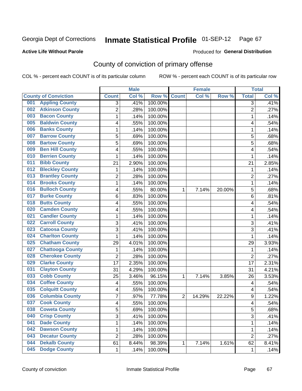### **Active Life Without Parole**

### Produced for **General Distribution**

# County of conviction of primary offense

|                                |                | <b>Male</b> |                  |                | <b>Female</b> |        |                | <b>Total</b> |
|--------------------------------|----------------|-------------|------------------|----------------|---------------|--------|----------------|--------------|
| <b>County of Conviction</b>    | <b>Count</b>   | Col %       | Row <sup>%</sup> | <b>Count</b>   | Col %         | Row %  | <b>Total</b>   | Col %        |
| <b>Appling County</b><br>001   | 3              | .41%        | 100.00%          |                |               |        | 3              | .41%         |
| <b>Atkinson County</b><br>002  | $\overline{2}$ | .28%        | 100.00%          |                |               |        | $\overline{2}$ | .27%         |
| <b>Bacon County</b><br>003     | 1              | .14%        | 100.00%          |                |               |        | 1              | .14%         |
| <b>Baldwin County</b><br>005   | 4              | .55%        | 100.00%          |                |               |        | 4              | .54%         |
| <b>Banks County</b><br>006     | 1              | .14%        | 100.00%          |                |               |        | 1              | .14%         |
| <b>Barrow County</b><br>007    | 5              | .69%        | 100.00%          |                |               |        | 5              | .68%         |
| <b>Bartow County</b><br>008    | 5              | .69%        | 100.00%          |                |               |        | 5              | .68%         |
| <b>Ben Hill County</b><br>009  | 4              | .55%        | 100.00%          |                |               |        | 4              | .54%         |
| <b>Berrien County</b><br>010   | 1              | .14%        | 100.00%          |                |               |        | 1              | .14%         |
| <b>Bibb County</b><br>011      | 21             | 2.90%       | 100.00%          |                |               |        | 21             | 2.85%        |
| <b>Bleckley County</b><br>012  | 1              | .14%        | 100.00%          |                |               |        | 1              | .14%         |
| <b>Brantley County</b><br>013  | $\overline{2}$ | .28%        | 100.00%          |                |               |        | $\overline{2}$ | .27%         |
| <b>Brooks County</b><br>014    | 1              | .14%        | 100.00%          |                |               |        | 1              | .14%         |
| <b>Bulloch County</b><br>016   | 4              | .55%        | 80.00%           | 1              | 7.14%         | 20.00% | 5              | .68%         |
| <b>Burke County</b><br>017     | 6              | .83%        | 100.00%          |                |               |        | 6              | .81%         |
| <b>Butts County</b><br>018     | 4              | .55%        | 100.00%          |                |               |        | 4              | .54%         |
| <b>Camden County</b><br>020    | 4              | .55%        | 100.00%          |                |               |        | 4              | .54%         |
| <b>Candler County</b><br>021   | 1              | .14%        | 100.00%          |                |               |        | 1              | .14%         |
| <b>Carroll County</b><br>022   | 3              | .41%        | 100.00%          |                |               |        | 3              | .41%         |
| <b>Catoosa County</b><br>023   | 3              | .41%        | 100.00%          |                |               |        | 3              | .41%         |
| <b>Charlton County</b><br>024  | 1              | .14%        | 100.00%          |                |               |        | 1              | .14%         |
| <b>Chatham County</b><br>025   | 29             | 4.01%       | 100.00%          |                |               |        | 29             | 3.93%        |
| <b>Chattooga County</b><br>027 | 1              | .14%        | 100.00%          |                |               |        | 1              | .14%         |
| <b>Cherokee County</b><br>028  | $\overline{2}$ | .28%        | 100.00%          |                |               |        | $\overline{2}$ | .27%         |
| <b>Clarke County</b><br>029    | 17             | 2.35%       | 100.00%          |                |               |        | 17             | 2.31%        |
| <b>Clayton County</b><br>031   | 31             | 4.29%       | 100.00%          |                |               |        | 31             | 4.21%        |
| <b>Cobb County</b><br>033      | 25             | 3.46%       | 96.15%           | 1              | 7.14%         | 3.85%  | 26             | 3.53%        |
| <b>Coffee County</b><br>034    | 4              | .55%        | 100.00%          |                |               |        | 4              | .54%         |
| <b>Colquitt County</b><br>035  | 4              | .55%        | 100.00%          |                |               |        | 4              | .54%         |
| <b>Columbia County</b><br>036  | 7              | .97%        | 77.78%           | $\overline{2}$ | 14.29%        | 22.22% | 9              | 1.22%        |
| <b>Cook County</b><br>037      | 4              | .55%        | 100.00%          |                |               |        | 4              | .54%         |
| 038<br><b>Coweta County</b>    | 5              | .69%        | 100.00%          |                |               |        | 5              | .68%         |
| <b>Crisp County</b><br>040     | $\overline{3}$ | .41%        | 100.00%          |                |               |        | 3              | .41%         |
| <b>Dade County</b><br>041      | 1              | .14%        | 100.00%          |                |               |        | 1              | .14%         |
| <b>Dawson County</b><br>042    | 1              | .14%        | 100.00%          |                |               |        | 1              | .14%         |
| <b>Decatur County</b><br>043   | $\overline{2}$ | .28%        | 100.00%          |                |               |        | $\overline{2}$ | .27%         |
| <b>Dekalb County</b><br>044    | 61             | 8.44%       | 98.39%           | 1              | 7.14%         | 1.61%  | 62             | 8.41%        |
| <b>Dodge County</b><br>045     | $\mathbf{1}$   | .14%        | 100.00%          |                |               |        | $\mathbf{1}$   | .14%         |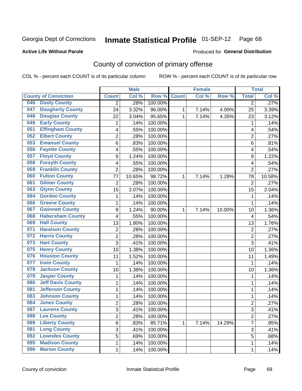## **Active Life Without Parole**

### Produced for **General Distribution**

# County of conviction of primary offense

|     |                             |                | <b>Male</b> |         |              | <b>Female</b> |        |                | <b>Total</b> |
|-----|-----------------------------|----------------|-------------|---------|--------------|---------------|--------|----------------|--------------|
|     | <b>County of Conviction</b> | <b>Count</b>   | Col %       | Row %   | <b>Count</b> | Col %         | Row %  | <b>Total</b>   | Col %        |
| 046 | <b>Dooly County</b>         | 2              | .28%        | 100.00% |              |               |        | $\overline{2}$ | .27%         |
| 047 | <b>Dougherty County</b>     | 24             | 3.32%       | 96.00%  | 1            | 7.14%         | 4.00%  | 25             | 3.39%        |
| 048 | <b>Douglas County</b>       | 22             | 3.04%       | 95.65%  | $\mathbf{1}$ | 7.14%         | 4.35%  | 23             | 3.12%        |
| 049 | <b>Early County</b>         | 1              | .14%        | 100.00% |              |               |        | 1              | .14%         |
| 051 | <b>Effingham County</b>     | 4              | .55%        | 100.00% |              |               |        | 4              | .54%         |
| 052 | <b>Elbert County</b>        | $\overline{2}$ | .28%        | 100.00% |              |               |        | $\overline{2}$ | .27%         |
| 053 | <b>Emanuel County</b>       | 6              | .83%        | 100.00% |              |               |        | 6              | .81%         |
| 056 | <b>Fayette County</b>       | 4              | .55%        | 100.00% |              |               |        | 4              | .54%         |
| 057 | <b>Floyd County</b>         | 9              | 1.24%       | 100.00% |              |               |        | 9              | 1.22%        |
| 058 | <b>Forsyth County</b>       | 4              | .55%        | 100.00% |              |               |        | 4              | .54%         |
| 059 | <b>Franklin County</b>      | $\overline{2}$ | .28%        | 100.00% |              |               |        | $\overline{2}$ | .27%         |
| 060 | <b>Fulton County</b>        | 77             | 10.65%      | 98.72%  | 1            | 7.14%         | 1.28%  | 78             | 10.58%       |
| 061 | <b>Gilmer County</b>        | $\overline{2}$ | .28%        | 100.00% |              |               |        | $\overline{2}$ | .27%         |
| 063 | <b>Glynn County</b>         | 15             | 2.07%       | 100.00% |              |               |        | 15             | 2.04%        |
| 064 | <b>Gordon County</b>        | $\mathbf{1}$   | .14%        | 100.00% |              |               |        | 1              | .14%         |
| 066 | <b>Greene County</b>        | $\mathbf{1}$   | .14%        | 100.00% |              |               |        | 1              | .14%         |
| 067 | <b>Gwinnett County</b>      | 9              | 1.24%       | 90.00%  | 1            | 7.14%         | 10.00% | 10             | 1.36%        |
| 068 | <b>Habersham County</b>     | 4              | .55%        | 100.00% |              |               |        | 4              | .54%         |
| 069 | <b>Hall County</b>          | 13             | 1.80%       | 100.00% |              |               |        | 13             | 1.76%        |
| 071 | <b>Haralson County</b>      | $\overline{c}$ | .28%        | 100.00% |              |               |        | $\overline{c}$ | .27%         |
| 072 | <b>Harris County</b>        | 2              | .28%        | 100.00% |              |               |        | $\overline{2}$ | .27%         |
| 073 | <b>Hart County</b>          | 3              | .41%        | 100.00% |              |               |        | $\overline{3}$ | .41%         |
| 075 | <b>Henry County</b>         | 10             | 1.38%       | 100.00% |              |               |        | 10             | 1.36%        |
| 076 | <b>Houston County</b>       | 11             | 1.52%       | 100.00% |              |               |        | 11             | 1.49%        |
| 077 | <b>Irwin County</b>         | $\mathbf{1}$   | .14%        | 100.00% |              |               |        | 1              | .14%         |
| 078 | <b>Jackson County</b>       | 10             | 1.38%       | 100.00% |              |               |        | 10             | 1.36%        |
| 079 | <b>Jasper County</b>        | 1              | .14%        | 100.00% |              |               |        | 1              | .14%         |
| 080 | <b>Jeff Davis County</b>    | $\mathbf{1}$   | .14%        | 100.00% |              |               |        | 1              | .14%         |
| 081 | <b>Jefferson County</b>     | $\mathbf{1}$   | .14%        | 100.00% |              |               |        | $\mathbf{1}$   | .14%         |
| 083 | <b>Johnson County</b>       | 1              | .14%        | 100.00% |              |               |        | 1              | .14%         |
| 084 | <b>Jones County</b>         | $\overline{2}$ | .28%        | 100.00% |              |               |        | $\overline{2}$ | .27%         |
| 087 | <b>Laurens County</b>       | 3              | .41%        | 100.00% |              |               |        | 3              | .41%         |
| 088 | <b>Lee County</b>           | $\overline{2}$ | .28%        | 100.00% |              |               |        | $\overline{2}$ | .27%         |
| 089 | <b>Liberty County</b>       | 6              | .83%        | 85.71%  | 1            | 7.14%         | 14.29% | $\overline{7}$ | .95%         |
| 091 | <b>Long County</b>          | $\overline{3}$ | .41%        | 100.00% |              |               |        | $\overline{3}$ | .41%         |
| 092 | <b>Lowndes County</b>       | 5              | .69%        | 100.00% |              |               |        | 5              | .68%         |
| 095 | <b>Madison County</b>       | 1              | .14%        | 100.00% |              |               |        | 1              | .14%         |
| 096 | <b>Marion County</b>        | $\mathbf 1$    | .14%        | 100.00% |              |               |        | 1              | .14%         |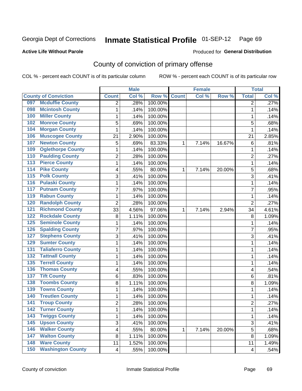## **Active Life Without Parole**

## Produced for **General Distribution**

# County of conviction of primary offense

|                  |                             |                         | <b>Male</b> |         |              | <b>Female</b> |        |                           | <b>Total</b>        |
|------------------|-----------------------------|-------------------------|-------------|---------|--------------|---------------|--------|---------------------------|---------------------|
|                  | <b>County of Conviction</b> | <b>Count</b>            | Col %       | Row %   | <b>Count</b> | Col %         | Row %  | <b>Total</b>              | Col %               |
| 097              | <b>Mcduffie County</b>      | 2                       | .28%        | 100.00% |              |               |        | 2                         | .27%                |
| 098              | <b>Mcintosh County</b>      | 1                       | .14%        | 100.00% |              |               |        | $\mathbf{1}$              | .14%                |
| 100              | <b>Miller County</b>        | 1                       | .14%        | 100.00% |              |               |        | 1                         | .14%                |
| 102              | <b>Monroe County</b>        | 5                       | .69%        | 100.00% |              |               |        | 5                         | .68%                |
| 104              | <b>Morgan County</b>        | 1                       | .14%        | 100.00% |              |               |        | 1                         | .14%                |
| 106              | <b>Muscogee County</b>      | 21                      | 2.90%       | 100.00% |              |               |        | 21                        | 2.85%               |
| 107              | <b>Newton County</b>        | 5                       | .69%        | 83.33%  | 1            | 7.14%         | 16.67% | 6                         | .81%                |
| 109              | <b>Oglethorpe County</b>    | 1                       | .14%        | 100.00% |              |               |        | 1                         | .14%                |
| 110              | <b>Paulding County</b>      | 2                       | .28%        | 100.00% |              |               |        | $\overline{2}$            | .27%                |
| 113              | <b>Pierce County</b>        | 1                       | .14%        | 100.00% |              |               |        | 1                         | .14%                |
| 114              | <b>Pike County</b>          | 4                       | .55%        | 80.00%  | 1            | 7.14%         | 20.00% | 5                         | .68%                |
| 115              | <b>Polk County</b>          | 3                       | .41%        | 100.00% |              |               |        | 3                         | .41%                |
| 116              | <b>Pulaski County</b>       | 1                       | .14%        | 100.00% |              |               |        | $\mathbf 1$               | .14%                |
| 117              | <b>Putnam County</b>        | 7                       | .97%        | 100.00% |              |               |        | $\overline{7}$            | .95%                |
| 119              | <b>Rabun County</b>         | 1                       | .14%        | 100.00% |              |               |        | $\mathbf 1$               | .14%                |
| 120              | <b>Randolph County</b>      | $\overline{2}$          | .28%        | 100.00% |              |               |        | $\overline{2}$            | .27%                |
| $\overline{121}$ | <b>Richmond County</b>      | 33                      | 4.56%       | 97.06%  | 1            | 7.14%         | 2.94%  | 34                        | 4.61%               |
| 122              | <b>Rockdale County</b>      | 8                       | 1.11%       | 100.00% |              |               |        | 8                         | 1.09%               |
| 125              | <b>Seminole County</b>      | 1                       | .14%        | 100.00% |              |               |        | 1                         | .14%                |
| 126              | <b>Spalding County</b>      | 7                       | .97%        | 100.00% |              |               |        | 7                         | .95%                |
| 127              | <b>Stephens County</b>      | 3                       | .41%        | 100.00% |              |               |        | 3                         | .41%                |
| 129              | <b>Sumter County</b>        | 1                       | .14%        | 100.00% |              |               |        | $\mathbf 1$               | .14%                |
| 131              | <b>Taliaferro County</b>    | 1                       | .14%        | 100.00% |              |               |        | 1                         | .14%                |
| 132              | <b>Tattnall County</b>      | 1                       | .14%        | 100.00% |              |               |        | 1                         | .14%                |
| 135              | <b>Terrell County</b>       | 1                       | .14%        | 100.00% |              |               |        | 1                         | .14%                |
| 136              | <b>Thomas County</b>        | 4                       | .55%        | 100.00% |              |               |        | 4                         | .54%                |
| 137              | <b>Tift County</b>          | 6                       | .83%        | 100.00% |              |               |        | 6                         | .81%                |
| 138              | <b>Toombs County</b>        | 8                       | 1.11%       | 100.00% |              |               |        | 8                         | 1.09%               |
| 139              | <b>Towns County</b>         | 1                       | .14%        | 100.00% |              |               |        | 1                         | .14%                |
| 140              | <b>Treutlen County</b>      | 1                       | .14%        | 100.00% |              |               |        | $\mathbf 1$               | .14%                |
| 141              | <b>Troup County</b>         | $\overline{2}$          | .28%        | 100.00% |              |               |        | $\overline{2}$            | .27%                |
| 142              | <b>Turner County</b>        | 1                       | .14%        | 100.00% |              |               |        | 1                         | .14%                |
| 143              | <b>Twiggs County</b>        | 1                       | .14%        | 100.00% |              |               |        | $\mathbf{1}$              | .14%                |
| $\overline{145}$ | <b>Upson County</b>         | 3                       | .41%        | 100.00% |              |               |        | $\ensuremath{\mathsf{3}}$ | .41%                |
| 146              | <b>Walker County</b>        | $\overline{\mathbf{4}}$ | .55%        | 80.00%  | 1            | 7.14%         | 20.00% | 5                         | .68%                |
| 147              | <b>Walton County</b>        | 8                       | 1.11%       | 100.00% |              |               |        | 8                         | 1.09%               |
| 148              | <b>Ware County</b>          | 11                      | 1.52%       | 100.00% |              |               |        | 11                        | $\overline{1.49\%}$ |
| 150              | <b>Washington County</b>    | $\overline{\mathbf{4}}$ | .55%        | 100.00% |              |               |        | 4                         | .54%                |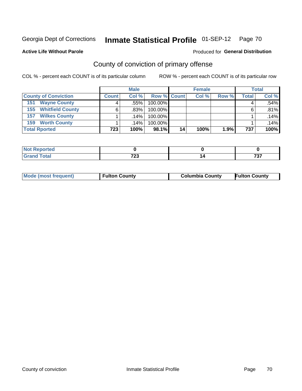**Active Life Without Parole** 

### Produced for **General Distribution**

# County of conviction of primary offense

|                                | <b>Male</b>  |         |                    | <b>Female</b> |       |       | <b>Total</b> |       |
|--------------------------------|--------------|---------|--------------------|---------------|-------|-------|--------------|-------|
| <b>County of Conviction</b>    | <b>Count</b> | Col%    | <b>Row % Count</b> |               | Col % | Row % | <b>Total</b> | Col % |
| <b>Wayne County</b><br>151     | 4            | .55%    | 100.00%            |               |       |       | 4            | .54%  |
| <b>Whitfield County</b><br>155 | 6            | .83%    | 100.00%            |               |       |       | 6            | .81%  |
| <b>Wilkes County</b><br>157    |              | $.14\%$ | 100.00%            |               |       |       |              | .14%  |
| <b>Worth County</b><br>159     |              | $.14\%$ | 100.00%            |               |       |       |              | .14%  |
| <b>Total Rported</b>           | 723          | 100%    | 98.1%              | 14            | 100%  | 1.9%  | 737          | 100%  |

| Reported<br>NOT |            |    |             |
|-----------------|------------|----|-------------|
| $int^{\bullet}$ | フヘヘ<br>נגו | ıч | ラヘラ<br>וט ו |

|  | <b>Mode (most frequent)</b> | <b>Fulton County</b> | <b>Columbia County</b> | <b>Fulton County</b> |
|--|-----------------------------|----------------------|------------------------|----------------------|
|--|-----------------------------|----------------------|------------------------|----------------------|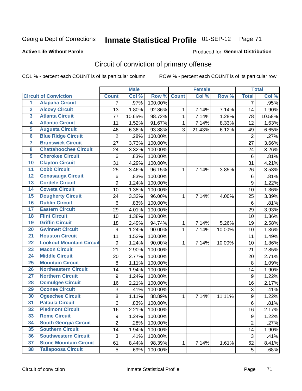## **Active Life Without Parole**

## Produced for **General Distribution**

# Circuit of conviction of primary offense

|                         |                                 |                  | <b>Male</b> |         |              | <b>Female</b> |        |                  | <b>Total</b> |
|-------------------------|---------------------------------|------------------|-------------|---------|--------------|---------------|--------|------------------|--------------|
|                         | <b>Circuit of Conviction</b>    | <b>Count</b>     | Col %       | Row %   | <b>Count</b> | Col %         | Row %  | <b>Total</b>     | Col %        |
| 1                       | <b>Alapaha Circuit</b>          | 7                | .97%        | 100.00% |              |               |        | 7                | .95%         |
| $\overline{2}$          | <b>Alcovy Circuit</b>           | 13               | 1.80%       | 92.86%  | 1            | 7.14%         | 7.14%  | 14               | 1.90%        |
| $\overline{\mathbf{3}}$ | <b>Atlanta Circuit</b>          | 77               | 10.65%      | 98.72%  | $\mathbf{1}$ | 7.14%         | 1.28%  | 78               | 10.58%       |
| 4                       | <b>Atlantic Circuit</b>         | 11               | 1.52%       | 91.67%  | 1            | 7.14%         | 8.33%  | 12               | 1.63%        |
| 5                       | <b>Augusta Circuit</b>          | 46               | 6.36%       | 93.88%  | 3            | 21.43%        | 6.12%  | 49               | 6.65%        |
| $6\phantom{a}$          | <b>Blue Ridge Circuit</b>       | $\overline{2}$   | .28%        | 100.00% |              |               |        | $\overline{2}$   | .27%         |
| $\overline{\mathbf{7}}$ | <b>Brunswick Circuit</b>        | 27               | 3.73%       | 100.00% |              |               |        | 27               | 3.66%        |
| 8                       | <b>Chattahoochee Circuit</b>    | 24               | 3.32%       | 100.00% |              |               |        | 24               | 3.26%        |
| $\overline{9}$          | <b>Cherokee Circuit</b>         | 6                | .83%        | 100.00% |              |               |        | 6                | .81%         |
| 10                      | <b>Clayton Circuit</b>          | 31               | 4.29%       | 100.00% |              |               |        | 31               | 4.21%        |
| $\overline{11}$         | <b>Cobb Circuit</b>             | 25               | 3.46%       | 96.15%  | 1            | 7.14%         | 3.85%  | 26               | 3.53%        |
| $\overline{12}$         | <b>Conasauga Circuit</b>        | $\,6$            | .83%        | 100.00% |              |               |        | $\,6$            | .81%         |
| 13                      | <b>Cordele Circuit</b>          | 9                | 1.24%       | 100.00% |              |               |        | $\boldsymbol{9}$ | 1.22%        |
| 14                      | <b>Coweta Circuit</b>           | 10               | 1.38%       | 100.00% |              |               |        | 10               | 1.36%        |
| $\overline{15}$         | <b>Dougherty Circuit</b>        | 24               | 3.32%       | 96.00%  | $\mathbf{1}$ | 7.14%         | 4.00%  | 25               | 3.39%        |
| 16                      | <b>Dublin Circuit</b>           | 6                | .83%        | 100.00% |              |               |        | $\,6$            | .81%         |
| 17                      | <b>Eastern Circuit</b>          | 29               | 4.01%       | 100.00% |              |               |        | 29               | 3.93%        |
| 18                      | <b>Flint Circuit</b>            | 10               | 1.38%       | 100.00% |              |               |        | 10               | 1.36%        |
| 19                      | <b>Griffin Circuit</b>          | 18               | 2.49%       | 94.74%  | 1            | 7.14%         | 5.26%  | 19               | 2.58%        |
| 20                      | <b>Gwinnett Circuit</b>         | 9                | 1.24%       | 90.00%  | 1            | 7.14%         | 10.00% | 10               | 1.36%        |
| $\overline{21}$         | <b>Houston Circuit</b>          | 11               | 1.52%       | 100.00% |              |               |        | 11               | 1.49%        |
| $\overline{22}$         | <b>Lookout Mountain Circuit</b> | $\boldsymbol{9}$ | 1.24%       | 90.00%  | $\mathbf{1}$ | 7.14%         | 10.00% | 10               | 1.36%        |
| 23                      | <b>Macon Circuit</b>            | 21               | 2.90%       | 100.00% |              |               |        | 21               | 2.85%        |
| 24                      | <b>Middle Circuit</b>           | 20               | 2.77%       | 100.00% |              |               |        | 20               | 2.71%        |
| 25                      | <b>Mountain Circuit</b>         | 8                | 1.11%       | 100.00% |              |               |        | 8                | 1.09%        |
| 26                      | <b>Northeastern Circuit</b>     | 14               | 1.94%       | 100.00% |              |               |        | 14               | 1.90%        |
| $\overline{27}$         | <b>Northern Circuit</b>         | $\boldsymbol{9}$ | 1.24%       | 100.00% |              |               |        | $\boldsymbol{9}$ | 1.22%        |
| 28                      | <b>Ocmulgee Circuit</b>         | 16               | 2.21%       | 100.00% |              |               |        | 16               | 2.17%        |
| 29                      | <b>Oconee Circuit</b>           | 3                | .41%        | 100.00% |              |               |        | $\mathfrak{S}$   | .41%         |
| 30                      | <b>Ogeechee Circuit</b>         | 8                | 1.11%       | 88.89%  | 1            | 7.14%         | 11.11% | $\boldsymbol{9}$ | 1.22%        |
| $\overline{31}$         | <b>Pataula Circuit</b>          | 6                | .83%        | 100.00% |              |               |        | $\,6$            | .81%         |
| 32                      | <b>Piedmont Circuit</b>         | 16               | 2.21%       | 100.00% |              |               |        | 16               | 2.17%        |
| 33                      | <b>Rome Circuit</b>             | 9                | 1.24%       | 100.00% |              |               |        | $9\,$            | 1.22%        |
| 34                      | <b>South Georgia Circuit</b>    | $\overline{2}$   | .28%        | 100.00% |              |               |        | $\overline{2}$   | .27%         |
| 35                      | <b>Southern Circuit</b>         | 14               | 1.94%       | 100.00% |              |               |        | 14               | 1.90%        |
| 36                      | <b>Southwestern Circuit</b>     | $\sqrt{3}$       | .41%        | 100.00% |              |               |        | 3                | .41%         |
| 37                      | <b>Stone Mountain Circuit</b>   | 61               | 8.44%       | 98.39%  | 1            | 7.14%         | 1.61%  | 62               | 8.41%        |
| 38                      | <b>Tallapoosa Circuit</b>       | 5                | .69%        | 100.00% |              |               |        | $5\phantom{.0}$  | .68%         |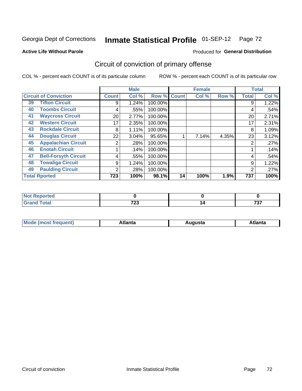**Active Life Without Parole** 

### Produced for **General Distribution**

# Circuit of conviction of primary offense

|    |                              |              | <b>Male</b> |         |              | <b>Female</b> |       |              | <b>Total</b> |
|----|------------------------------|--------------|-------------|---------|--------------|---------------|-------|--------------|--------------|
|    | <b>Circuit of Conviction</b> | <b>Count</b> | Col %       | Row %   | <b>Count</b> | Col %         | Row % | <b>Total</b> | Col %        |
| 39 | <b>Tifton Circuit</b>        | 9            | 1.24%       | 100.00% |              |               |       | 9            | 1.22%        |
| 40 | <b>Toombs Circuit</b>        | 4            | .55%        | 100.00% |              |               |       | 4            | .54%         |
| 41 | <b>Waycross Circuit</b>      | 20           | 2.77%       | 100.00% |              |               |       | 20           | 2.71%        |
| 42 | <b>Western Circuit</b>       | 17           | 2.35%       | 100.00% |              |               |       | 17           | 2.31%        |
| 43 | <b>Rockdale Circuit</b>      | 8            | 1.11%       | 100.00% |              |               |       | 8            | 1.09%        |
| 44 | <b>Douglas Circuit</b>       | 22           | 3.04%       | 95.65%  |              | 7.14%         | 4.35% | 23           | 3.12%        |
| 45 | <b>Appalachian Circuit</b>   | 2            | .28%        | 100.00% |              |               |       | 2            | .27%         |
| 46 | <b>Enotah Circuit</b>        |              | .14%        | 100.00% |              |               |       |              | .14%         |
| 47 | <b>Bell-Forsyth Circuit</b>  | 4            | .55%        | 100.00% |              |               |       | 4            | .54%         |
| 48 | <b>Towaliga Circuit</b>      | 9            | 1.24%       | 100.00% |              |               |       | 9            | 1.22%        |
| 49 | <b>Paulding Circuit</b>      | 2            | .28%        | 100.00% |              |               |       | 2            | .27%         |
|    | <b>Total Rported</b>         | 723          | 100%        | 98.1%   | 14           | 100%          | 1.9%  | 737          | 100%         |

| ortea       |     |         |
|-------------|-----|---------|
| <b>otal</b> | フへへ | $- - -$ |
| ---         | ں ک | ر ،     |

| М<br>. In n tr<br>.<br>.<br>wanta<br>Πū<br>31.<br>$\sim$ $\sim$ $\sim$ |
|------------------------------------------------------------------------|
|------------------------------------------------------------------------|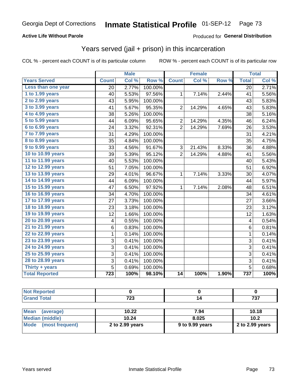### **Active Life Without Parole**

### Produced for **General Distribution**

## Years served (jail + prison) in this incarceration

|                       |                  | <b>Male</b> |                  |                         | <b>Female</b> |       |                         | <b>Total</b> |
|-----------------------|------------------|-------------|------------------|-------------------------|---------------|-------|-------------------------|--------------|
| <b>Years Served</b>   | <b>Count</b>     | Col %       | Row <sup>%</sup> | <b>Count</b>            | Col%          | Row % | <b>Total</b>            | Col %        |
| Less than one year    | 20               | 2.77%       | 100.00%          |                         |               |       | 20                      | 2.71%        |
| 1 to 1.99 years       | 40               | 5.53%       | 97.56%           | 1                       | 7.14%         | 2.44% | 41                      | 5.56%        |
| 2 to 2.99 years       | 43               | 5.95%       | 100.00%          |                         |               |       | 43                      | 5.83%        |
| 3 to 3.99 years       | 41               | 5.67%       | 95.35%           | $\overline{2}$          | 14.29%        | 4.65% | 43                      | 5.83%        |
| 4 to 4.99 years       | 38               | 5.26%       | 100.00%          |                         |               |       | 38                      | 5.16%        |
| 5 to 5.99 years       | 44               | 6.09%       | 95.65%           | $\overline{\mathbf{c}}$ | 14.29%        | 4.35% | 46                      | 6.24%        |
| 6 to 6.99 years       | 24               | 3.32%       | 92.31%           | $\overline{2}$          | 14.29%        | 7.69% | 26                      | 3.53%        |
| 7 to 7.99 years       | 31               | 4.29%       | 100.00%          |                         |               |       | 31                      | 4.21%        |
| 8 to 8.99 years       | 35               | 4.84%       | 100.00%          |                         |               |       | 35                      | 4.75%        |
| 9 to 9.99 years       | 33               | 4.56%       | 91.67%           | 3                       | 21.43%        | 8.33% | 36                      | 4.88%        |
| 10 to 10.99 years     | 39               | 5.39%       | 95.12%           | $\overline{2}$          | 14.29%        | 4.88% | 41                      | 5.56%        |
| 11 to 11.99 years     | 40               | 5.53%       | 100.00%          |                         |               |       | 40                      | 5.43%        |
| 12 to 12.99 years     | 51               | 7.05%       | 100.00%          |                         |               |       | 51                      | 6.92%        |
| 13 to 13.99 years     | 29               | 4.01%       | 96.67%           | 1                       | 7.14%         | 3.33% | 30                      | 4.07%        |
| 14 to 14.99 years     | 44               | 6.09%       | 100.00%          |                         |               |       | 44                      | 5.97%        |
| 15 to 15.99 years     | 47               | 6.50%       | 97.92%           | 1                       | 7.14%         | 2.08% | 48                      | 6.51%        |
| 16 to 16.99 years     | 34               | 4.70%       | 100.00%          |                         |               |       | 34                      | 4.61%        |
| 17 to 17.99 years     | 27               | 3.73%       | 100.00%          |                         |               |       | 27                      | 3.66%        |
| 18 to 18.99 years     | 23               | 3.18%       | 100.00%          |                         |               |       | 23                      | 3.12%        |
| 19 to 19.99 years     | 12               | 1.66%       | 100.00%          |                         |               |       | 12                      | 1.63%        |
| 20 to 20.99 years     | 4                | 0.55%       | 100.00%          |                         |               |       | $\overline{\mathbf{4}}$ | 0.54%        |
| 21 to 21.99 years     | 6                | 0.83%       | 100.00%          |                         |               |       | 6                       | 0.81%        |
| 22 to 22.99 years     | 1                | 0.14%       | 100.00%          |                         |               |       | $\mathbf{1}$            | 0.14%        |
| 23 to 23.99 years     | 3                | 0.41%       | 100.00%          |                         |               |       | 3                       | 0.41%        |
| 24 to 24.99 years     | 3                | 0.41%       | 100.00%          |                         |               |       | 3                       | 0.41%        |
| 25 to 25.99 years     | 3                | 0.41%       | 100.00%          |                         |               |       | 3                       | 0.41%        |
| 28 to 28.99 years     | 3                | 0.41%       | 100.00%          |                         |               |       | 3                       | 0.41%        |
| Thirty + years        | 5                | 0.69%       | 100.00%          |                         |               |       | $\overline{5}$          | 0.68%        |
| <b>Total Reported</b> | $\overline{723}$ | 100%        | 98.10%           | 14                      | 100%          | 1.90% | 737                     | 100%         |

| _____ | 700<br>ن ۽ ا | ---<br>$\cdot$ |
|-------|--------------|----------------|

| <b>Mean</b><br>(average) | 10.22           | 7.94            | 10.18             |
|--------------------------|-----------------|-----------------|-------------------|
| Median (middle)          | 10.24           | 8.025           | 10.2              |
| Mode (most frequent)     | 2 to 2.99 years | 9 to 9.99 years | 2 to $2.99$ years |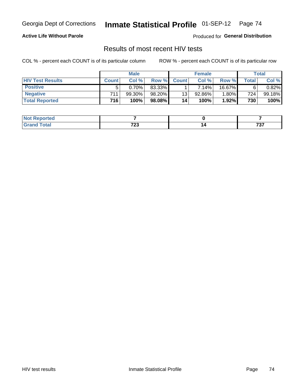### **Active Life Without Parole**

Produced for **General Distribution**

## Results of most recent HIV tests

|                         | <b>Male</b>      |        |           | <b>Female</b> |          |          | Total       |           |
|-------------------------|------------------|--------|-----------|---------------|----------|----------|-------------|-----------|
| <b>HIV Test Results</b> | <b>Count</b>     | Col%   | Row %I    | <b>Count</b>  | Col%     | Row %    | $\tau$ otal | Col %     |
| <b>Positive</b>         | 5                | 0.70%  | 83.33%    |               | $7.14\%$ | 16.67%   | 6           | $0.82\%$  |
| <b>Negative</b>         | $711_1$          | 99.30% | 98.20%    | 13            | 92.86%   | $1.80\%$ | 724         | $99.18\%$ |
| <b>Total Reported</b>   | 716 <sub>1</sub> | 100%   | $98.08\%$ | 14            | 100%     | 1.92%    | 730         | 100%      |

| วorted<br><b>NOT</b> |       |                             |
|----------------------|-------|-----------------------------|
| <b>cotal</b>         | 700   | $\rightarrow$ $\rightarrow$ |
|                      | 1 L J | ,,,                         |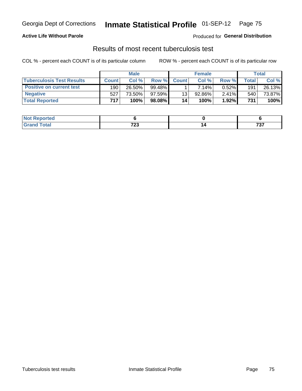### **Active Life Without Parole**

Produced for **General Distribution**

## Results of most recent tuberculosis test

|                                  | <b>Male</b>      |         |           | <b>Female</b> |             |          | Total   |        |
|----------------------------------|------------------|---------|-----------|---------------|-------------|----------|---------|--------|
| <b>Tuberculosis Test Results</b> | <b>Count</b>     | Col%    | Row %I    | <b>Count</b>  | Col%        | Row %    | ⊤otal ⊧ | Col %  |
| <b>Positive on current test</b>  | 190              | 26.50%  | $99.48\%$ |               | 7.14%       | $0.52\%$ | 191     | 26.13% |
| <b>Negative</b>                  | 527              | 73.50%」 | $97.59\%$ | 13            | 92.86%      | $2.41\%$ | 540     | 73.87% |
| <b>Total Reported</b>            | 717 <sub>1</sub> | 100%    | 98.08%    | 14            | <b>100%</b> | 1.92%    | 731     | 100%   |

| <b>Not Reported</b> |             |                  |
|---------------------|-------------|------------------|
| <b>Total</b>        | 700<br>1 LJ | -205<br>.<br>$-$ |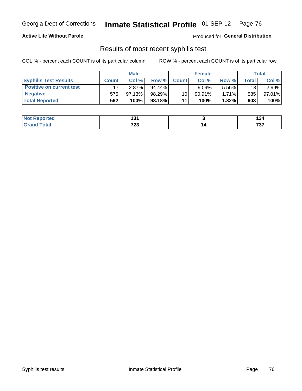### **Active Life Without Parole**

Produced for **General Distribution**

## Results of most recent syphilis test

|                                 | <b>Male</b>  |          |        | <b>Female</b> |           |          | Total   |        |
|---------------------------------|--------------|----------|--------|---------------|-----------|----------|---------|--------|
| <b>Syphilis Test Results</b>    | <b>Count</b> | Col%     | Row %  | <b>Count</b>  | Col %     | Row %I   | Total i | Col %  |
| <b>Positive on current test</b> |              | $2.87\%$ | 94.44% |               | 9.09%     | 5.56%    | 18      | 2.99%  |
| <b>Negative</b>                 | 575          | 97.13%   | 98.29% | 10            | $90.91\%$ | $1.71\%$ | 585     | 97.01% |
| <b>Total Reported</b>           | 592          | 100%     | 98.18% | 11            | 100%      | 1.82%    | 603     | 100%   |

| <b>Not Reported</b> | ה ו<br>ו שו          | .<br>194     |
|---------------------|----------------------|--------------|
| <b>Total</b>        | 700<br>ن ک<br>$\sim$ | 707<br>1 J I |